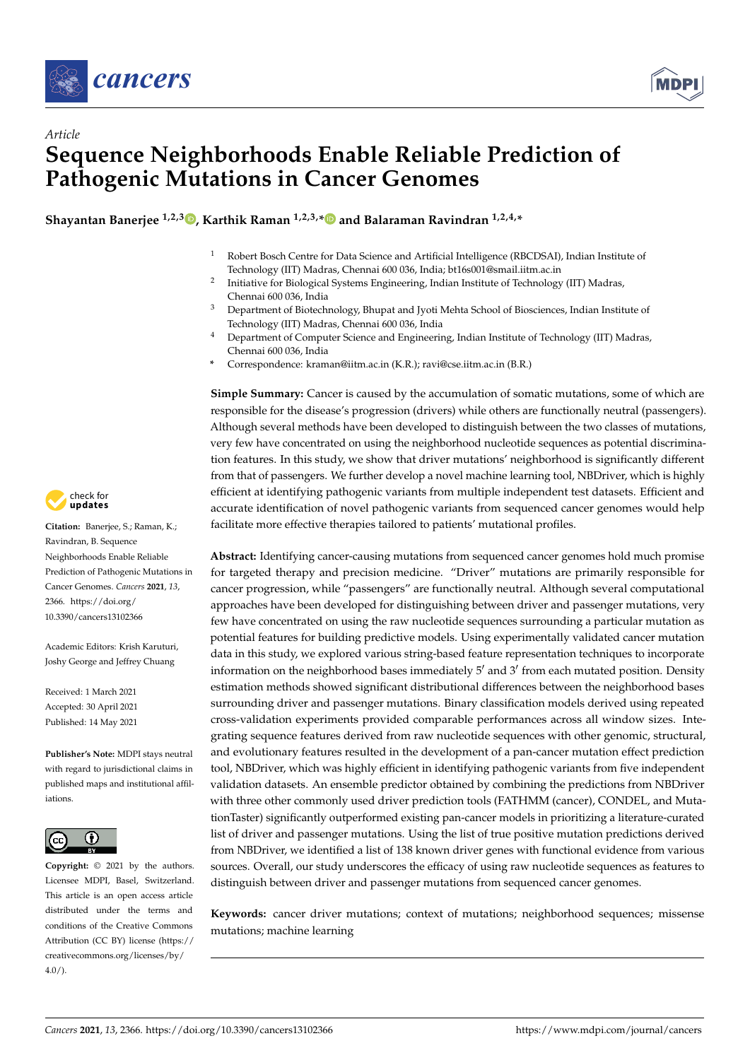



# *Article* **Sequence Neighborhoods Enable Reliable Prediction of Pathogenic Mutations in Cancer Genomes**

**Shayantan Banerjee 1,2,3 , Karthik Raman 1,2,3,\* and Balaraman Ravindran 1,2,4,\***

- <sup>1</sup> Robert Bosch Centre for Data Science and Artificial Intelligence (RBCDSAI), Indian Institute of Technology (IIT) Madras, Chennai 600 036, India; bt16s001@smail.iitm.ac.in
- 2 Initiative for Biological Systems Engineering, Indian Institute of Technology (IIT) Madras, Chennai 600 036, India
- <sup>3</sup> Department of Biotechnology, Bhupat and Jyoti Mehta School of Biosciences, Indian Institute of Technology (IIT) Madras, Chennai 600 036, India
- <sup>4</sup> Department of Computer Science and Engineering, Indian Institute of Technology (IIT) Madras, Chennai 600 036, India
- **\*** Correspondence: kraman@iitm.ac.in (K.R.); ravi@cse.iitm.ac.in (B.R.)

**Simple Summary:** Cancer is caused by the accumulation of somatic mutations, some of which are responsible for the disease's progression (drivers) while others are functionally neutral (passengers). Although several methods have been developed to distinguish between the two classes of mutations, very few have concentrated on using the neighborhood nucleotide sequences as potential discrimination features. In this study, we show that driver mutations' neighborhood is significantly different from that of passengers. We further develop a novel machine learning tool, NBDriver, which is highly efficient at identifying pathogenic variants from multiple independent test datasets. Efficient and accurate identification of novel pathogenic variants from sequenced cancer genomes would help facilitate more effective therapies tailored to patients' mutational profiles.

**Abstract:** Identifying cancer-causing mutations from sequenced cancer genomes hold much promise for targeted therapy and precision medicine. "Driver" mutations are primarily responsible for cancer progression, while "passengers" are functionally neutral. Although several computational approaches have been developed for distinguishing between driver and passenger mutations, very few have concentrated on using the raw nucleotide sequences surrounding a particular mutation as potential features for building predictive models. Using experimentally validated cancer mutation data in this study, we explored various string-based feature representation techniques to incorporate information on the neighborhood bases immediately 5′ and 3′ from each mutated position. Density estimation methods showed significant distributional differences between the neighborhood bases surrounding driver and passenger mutations. Binary classification models derived using repeated cross-validation experiments provided comparable performances across all window sizes. Integrating sequence features derived from raw nucleotide sequences with other genomic, structural, and evolutionary features resulted in the development of a pan-cancer mutation effect prediction tool, NBDriver, which was highly efficient in identifying pathogenic variants from five independent validation datasets. An ensemble predictor obtained by combining the predictions from NBDriver with three other commonly used driver prediction tools (FATHMM (cancer), CONDEL, and MutationTaster) significantly outperformed existing pan-cancer models in prioritizing a literature-curated list of driver and passenger mutations. Using the list of true positive mutation predictions derived from NBDriver, we identified a list of 138 known driver genes with functional evidence from various sources. Overall, our study underscores the efficacy of using raw nucleotide sequences as features to distinguish between driver and passenger mutations from sequenced cancer genomes.

**Keywords:** cancer driver mutations; context of mutations; neighborhood sequences; missense mutations; machine learning



**Citation:** Banerjee, S.; Raman, K.; Ravindran, B. Sequence Neighborhoods Enable Reliable Prediction of Pathogenic Mutations in Cancer Genomes. *Cancers* **2021**, *13*, 2366. https://doi.org/ 10.3390/cancers13102366

Academic Editors: Krish Karuturi, Joshy George and Jeffrey Chuang

Received: 1 March 2021 Accepted: 30 April 2021 Published: 14 May 2021

**Publisher's Note:** MDPI stays neutral with regard to jurisdictional claims in published maps and institutional affiliations.



**Copyright:** © 2021 by the authors. Licensee MDPI, Basel, Switzerland. This article is an open access article distributed under the terms and conditions of the Creative Commons Attribution (CC BY) license (https:// creativecommons.org/licenses/by/  $4.0/$ ).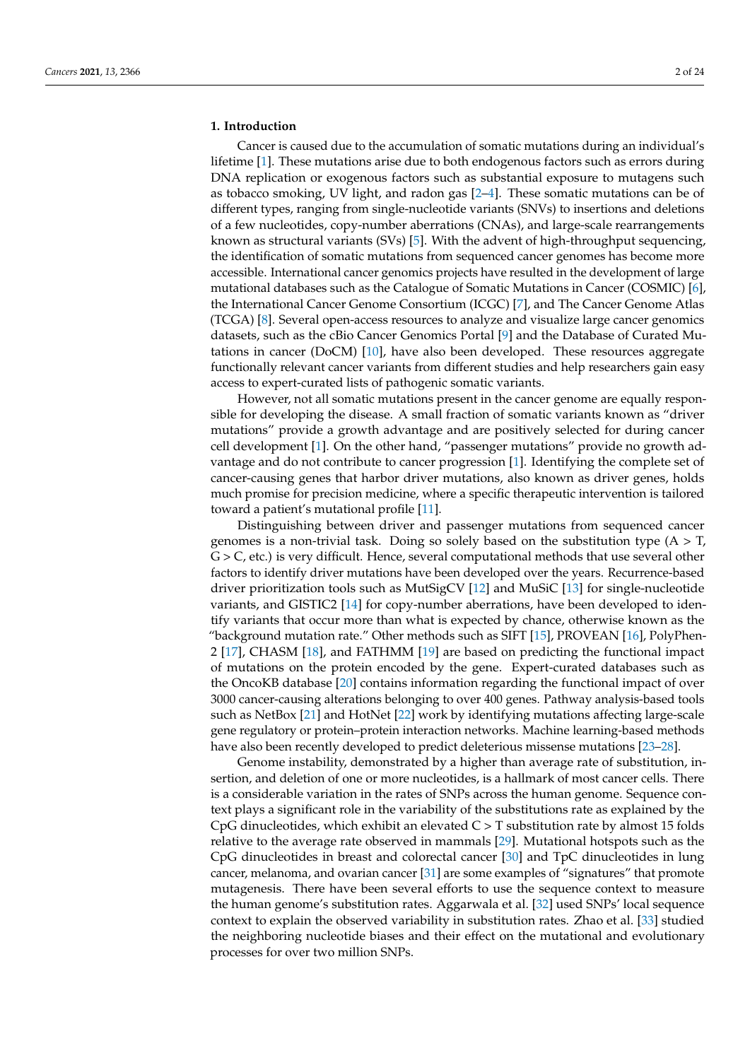## **1. Introduction**

Cancer is caused due to the accumulation of somatic mutations during an individual's lifetime [1]. These mutations arise due to both endogenous factors such as errors during DNA replication or exogenous factors such as substantial exposure to mutagens such as tobacco smoking, UV light, and radon gas [2–4]. These somatic mutations can be of different types, ranging from single-nucleotide variants (SNVs) to insertions and deletions of a few nucleotides, copy-number aberrations (CNAs), and large-scale rearrangements known as structural variants (SVs) [5]. With the advent of high-throughput sequencing, the identification of somatic mutations from sequenced cancer genomes has become more accessible. International cancer genomics projects have resulted in the development of large mutational databases such as the Catalogue of Somatic Mutations in Cancer (COSMIC) [6], the International Cancer Genome Consortium (ICGC) [7], and The Cancer Genome Atlas (TCGA) [8]. Several open-access resources to analyze and visualize large cancer genomics datasets, such as the cBio Cancer Genomics Portal [9] and the Database of Curated Mutations in cancer (DoCM) [10], have also been developed. These resources aggregate functionally relevant cancer variants from different studies and help researchers gain easy access to expert-curated lists of pathogenic somatic variants.

However, not all somatic mutations present in the cancer genome are equally responsible for developing the disease. A small fraction of somatic variants known as "driver mutations" provide a growth advantage and are positively selected for during cancer cell development [1]. On the other hand, "passenger mutations" provide no growth advantage and do not contribute to cancer progression [1]. Identifying the complete set of cancer-causing genes that harbor driver mutations, also known as driver genes, holds much promise for precision medicine, where a specific therapeutic intervention is tailored toward a patient's mutational profile [11].

Distinguishing between driver and passenger mutations from sequenced cancer genomes is a non-trivial task. Doing so solely based on the substitution type  $(A > T)$ ,  $G > C$ , etc.) is very difficult. Hence, several computational methods that use several other factors to identify driver mutations have been developed over the years. Recurrence-based driver prioritization tools such as MutSigCV [12] and MuSiC [13] for single-nucleotide variants, and GISTIC2 [14] for copy-number aberrations, have been developed to identify variants that occur more than what is expected by chance, otherwise known as the "background mutation rate." Other methods such as SIFT [15], PROVEAN [16], PolyPhen-2 [17], CHASM [18], and FATHMM [19] are based on predicting the functional impact of mutations on the protein encoded by the gene. Expert-curated databases such as the OncoKB database [20] contains information regarding the functional impact of over 3000 cancer-causing alterations belonging to over 400 genes. Pathway analysis-based tools such as NetBox [21] and HotNet [22] work by identifying mutations affecting large-scale gene regulatory or protein–protein interaction networks. Machine learning-based methods have also been recently developed to predict deleterious missense mutations [23–28].

Genome instability, demonstrated by a higher than average rate of substitution, insertion, and deletion of one or more nucleotides, is a hallmark of most cancer cells. There is a considerable variation in the rates of SNPs across the human genome. Sequence context plays a significant role in the variability of the substitutions rate as explained by the CpG dinucleotides, which exhibit an elevated  $C > T$  substitution rate by almost 15 folds relative to the average rate observed in mammals [29]. Mutational hotspots such as the CpG dinucleotides in breast and colorectal cancer [30] and TpC dinucleotides in lung cancer, melanoma, and ovarian cancer [31] are some examples of "signatures" that promote mutagenesis. There have been several efforts to use the sequence context to measure the human genome's substitution rates. Aggarwala et al. [32] used SNPs' local sequence context to explain the observed variability in substitution rates. Zhao et al. [33] studied the neighboring nucleotide biases and their effect on the mutational and evolutionary processes for over two million SNPs.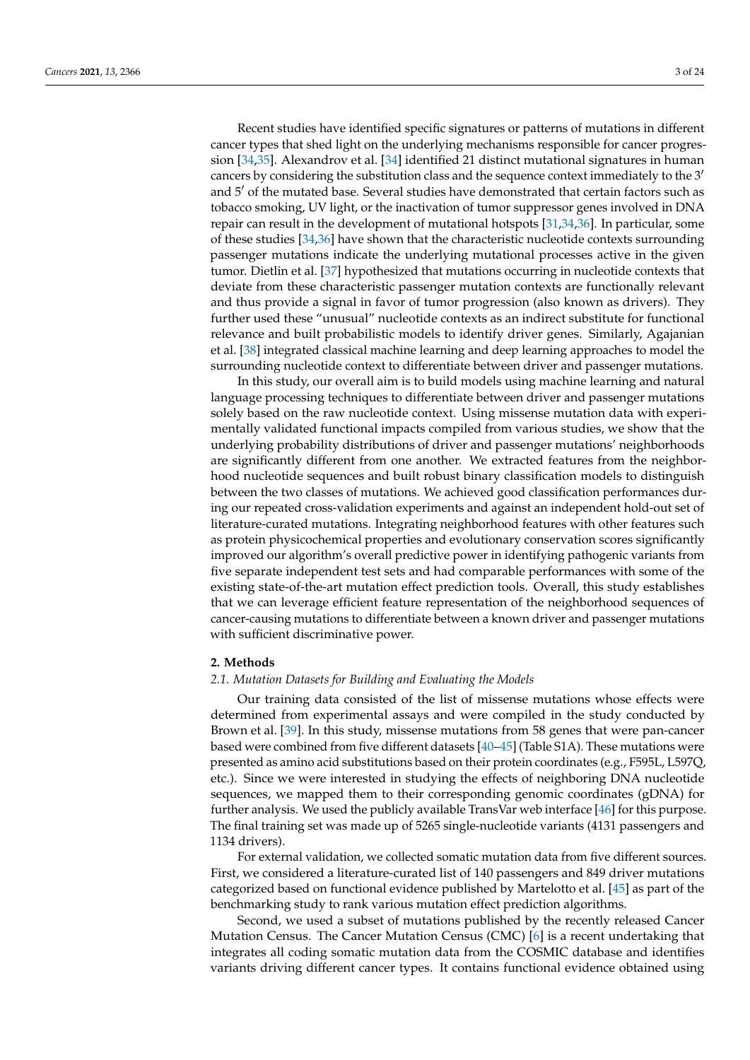Recent studies have identified specific signatures or patterns of mutations in different cancer types that shed light on the underlying mechanisms responsible for cancer progression [34,35]. Alexandrov et al. [34] identified 21 distinct mutational signatures in human cancers by considering the substitution class and the sequence context immediately to the 3′ and 5′ of the mutated base. Several studies have demonstrated that certain factors such as tobacco smoking, UV light, or the inactivation of tumor suppressor genes involved in DNA repair can result in the development of mutational hotspots [31,34,36]. In particular, some of these studies [34,36] have shown that the characteristic nucleotide contexts surrounding passenger mutations indicate the underlying mutational processes active in the given tumor. Dietlin et al. [37] hypothesized that mutations occurring in nucleotide contexts that deviate from these characteristic passenger mutation contexts are functionally relevant and thus provide a signal in favor of tumor progression (also known as drivers). They further used these "unusual" nucleotide contexts as an indirect substitute for functional relevance and built probabilistic models to identify driver genes. Similarly, Agajanian et al. [38] integrated classical machine learning and deep learning approaches to model the surrounding nucleotide context to differentiate between driver and passenger mutations.

In this study, our overall aim is to build models using machine learning and natural language processing techniques to differentiate between driver and passenger mutations solely based on the raw nucleotide context. Using missense mutation data with experimentally validated functional impacts compiled from various studies, we show that the underlying probability distributions of driver and passenger mutations' neighborhoods are significantly different from one another. We extracted features from the neighborhood nucleotide sequences and built robust binary classification models to distinguish between the two classes of mutations. We achieved good classification performances during our repeated cross-validation experiments and against an independent hold-out set of literature-curated mutations. Integrating neighborhood features with other features such as protein physicochemical properties and evolutionary conservation scores significantly improved our algorithm's overall predictive power in identifying pathogenic variants from five separate independent test sets and had comparable performances with some of the existing state-of-the-art mutation effect prediction tools. Overall, this study establishes that we can leverage efficient feature representation of the neighborhood sequences of cancer-causing mutations to differentiate between a known driver and passenger mutations with sufficient discriminative power.

## **2. Methods**

### *2.1. Mutation Datasets for Building and Evaluating the Models*

Our training data consisted of the list of missense mutations whose effects were determined from experimental assays and were compiled in the study conducted by Brown et al. [39]. In this study, missense mutations from 58 genes that were pan-cancer based were combined from five different datasets [40–45] (Table S1A). These mutations were presented as amino acid substitutions based on their protein coordinates (e.g., F595L, L597Q, etc.). Since we were interested in studying the effects of neighboring DNA nucleotide sequences, we mapped them to their corresponding genomic coordinates (gDNA) for further analysis. We used the publicly available TransVar web interface [46] for this purpose. The final training set was made up of 5265 single-nucleotide variants (4131 passengers and 1134 drivers).

For external validation, we collected somatic mutation data from five different sources. First, we considered a literature-curated list of 140 passengers and 849 driver mutations categorized based on functional evidence published by Martelotto et al. [45] as part of the benchmarking study to rank various mutation effect prediction algorithms.

Second, we used a subset of mutations published by the recently released Cancer Mutation Census. The Cancer Mutation Census (CMC) [6] is a recent undertaking that integrates all coding somatic mutation data from the COSMIC database and identifies variants driving different cancer types. It contains functional evidence obtained using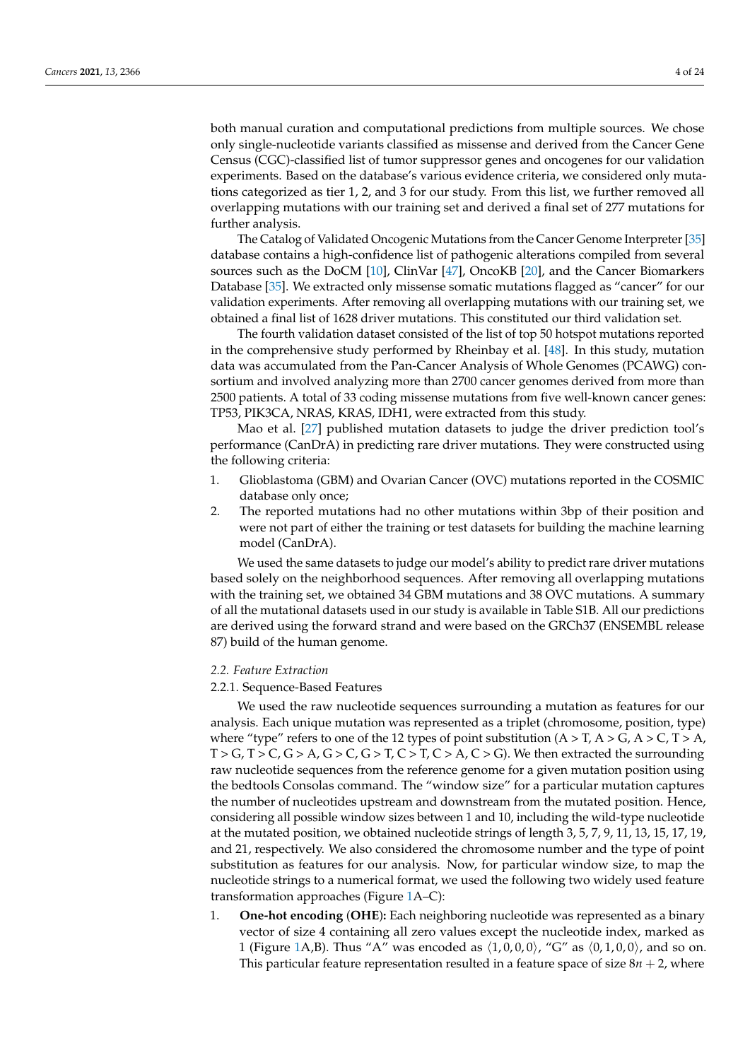both manual curation and computational predictions from multiple sources. We chose only single-nucleotide variants classified as missense and derived from the Cancer Gene Census (CGC)-classified list of tumor suppressor genes and oncogenes for our validation experiments. Based on the database's various evidence criteria, we considered only mutations categorized as tier 1, 2, and 3 for our study. From this list, we further removed all overlapping mutations with our training set and derived a final set of 277 mutations for further analysis.

The Catalog of Validated Oncogenic Mutations from the Cancer Genome Interpreter [35] database contains a high-confidence list of pathogenic alterations compiled from several sources such as the DoCM [10], ClinVar [47], OncoKB [20], and the Cancer Biomarkers Database [35]. We extracted only missense somatic mutations flagged as "cancer" for our validation experiments. After removing all overlapping mutations with our training set, we obtained a final list of 1628 driver mutations. This constituted our third validation set.

The fourth validation dataset consisted of the list of top 50 hotspot mutations reported in the comprehensive study performed by Rheinbay et al. [48]. In this study, mutation data was accumulated from the Pan-Cancer Analysis of Whole Genomes (PCAWG) consortium and involved analyzing more than 2700 cancer genomes derived from more than 2500 patients. A total of 33 coding missense mutations from five well-known cancer genes: TP53, PIK3CA, NRAS, KRAS, IDH1, were extracted from this study.

Mao et al. [27] published mutation datasets to judge the driver prediction tool's performance (CanDrA) in predicting rare driver mutations. They were constructed using the following criteria:

- 1. Glioblastoma (GBM) and Ovarian Cancer (OVC) mutations reported in the COSMIC database only once;
- 2. The reported mutations had no other mutations within 3bp of their position and were not part of either the training or test datasets for building the machine learning model (CanDrA).

We used the same datasets to judge our model's ability to predict rare driver mutations based solely on the neighborhood sequences. After removing all overlapping mutations with the training set, we obtained 34 GBM mutations and 38 OVC mutations. A summary of all the mutational datasets used in our study is available in Table S1B. All our predictions are derived using the forward strand and were based on the GRCh37 (ENSEMBL release 87) build of the human genome.

### *2.2. Feature Extraction*

## 2.2.1. Sequence-Based Features

We used the raw nucleotide sequences surrounding a mutation as features for our analysis. Each unique mutation was represented as a triplet (chromosome, position, type) where "type" refers to one of the 12 types of point substitution ( $A > T$ ,  $A > G$ ,  $A > C$ ,  $T > A$ ,  $T > G$ ,  $T > C$ ,  $G > A$ ,  $G > C$ ,  $G > T$ ,  $C > T$ ,  $C > A$ ,  $C > G$ ). We then extracted the surrounding raw nucleotide sequences from the reference genome for a given mutation position using the bedtools Consolas command. The "window size" for a particular mutation captures the number of nucleotides upstream and downstream from the mutated position. Hence, considering all possible window sizes between 1 and 10, including the wild-type nucleotide at the mutated position, we obtained nucleotide strings of length 3, 5, 7, 9, 11, 13, 15, 17, 19, and 21, respectively. We also considered the chromosome number and the type of point substitution as features for our analysis. Now, for particular window size, to map the nucleotide strings to a numerical format, we used the following two widely used feature transformation approaches (Figure 1A–C):

1. **One-hot encoding** (**OHE**)**:** Each neighboring nucleotide was represented as a binary vector of size 4 containing all zero values except the nucleotide index, marked as 1 (Figure 1A,B). Thus "A" was encoded as  $\langle 1, 0, 0, 0 \rangle$ , "G" as  $\langle 0, 1, 0, 0 \rangle$ , and so on. This particular feature representation resulted in a feature space of size  $8n + 2$ , where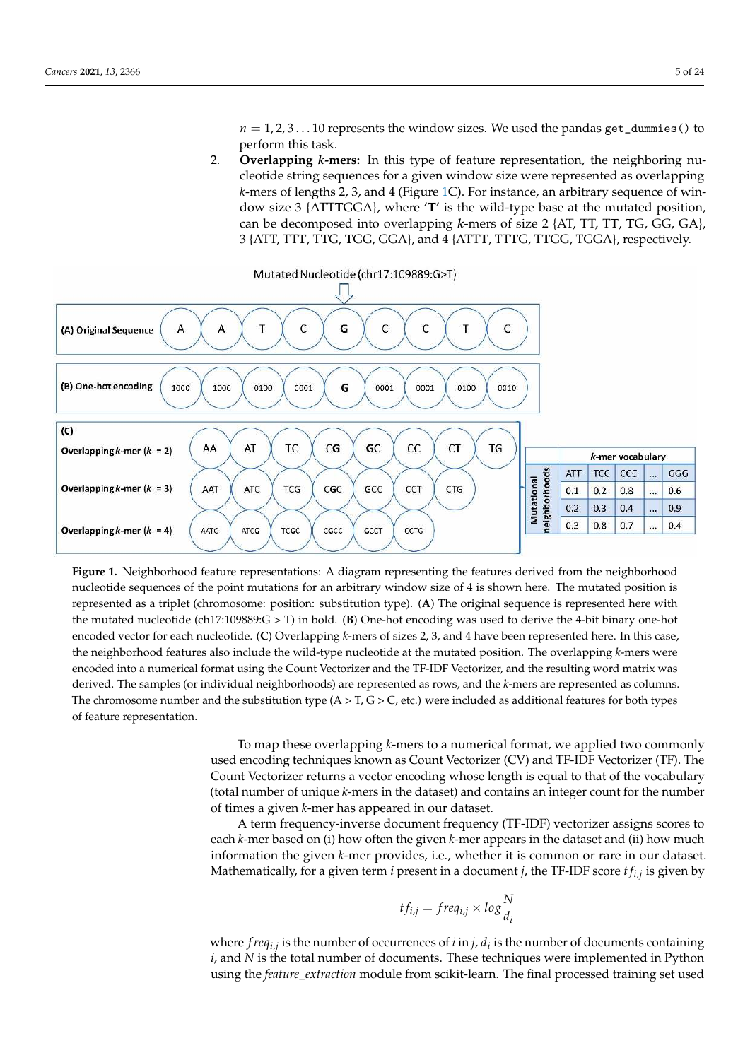$n = 1, 2, 3...$  10 represents the window sizes. We used the pandas get\_dummies() to perform this task.

2. **Overlapping** *k***-mers:** In this type of feature representation, the neighboring nucleotide string sequences for a given window size were represented as overlapping *k*-mers of lengths 2, 3, and 4 (Figure 1C). For instance, an arbitrary sequence of window size 3 {ATT**T**GGA}, where '**T**' is the wild-type base at the mutated position, can be decomposed into overlapping *k*-mers of size 2 {AT, TT, T**T**, **T**G, GG, GA}, 3 {ATT, TT**T**, T**T**G, **T**GG, GGA}, and 4 {ATT**T**, TT**T**G, T**T**GG, TGGA}, respectively.



**Figure 1.** Neighborhood feature representations: A diagram representing the features derived from the neighborhood nucleotide sequences of the point mutations for an arbitrary window size of 4 is shown here. The mutated position is represented as a triplet (chromosome: position: substitution type). (**A**) The original sequence is represented here with the mutated nucleotide (ch17:109889:G > T) in bold. (**B**) One-hot encoding was used to derive the 4-bit binary one-hot encoded vector for each nucleotide. (**C**) Overlapping *k*-mers of sizes 2, 3, and 4 have been represented here. In this case, the neighborhood features also include the wild-type nucleotide at the mutated position. The overlapping *k*-mers were encoded into a numerical format using the Count Vectorizer and the TF-IDF Vectorizer, and the resulting word matrix was derived. The samples (or individual neighborhoods) are represented as rows, and the *k*-mers are represented as columns. The chromosome number and the substitution type  $(A > T, G > C,$  etc.) were included as additional features for both types of feature representation.

> To map these overlapping *k*-mers to a numerical format, we applied two commonly used encoding techniques known as Count Vectorizer (CV) and TF-IDF Vectorizer (TF). The Count Vectorizer returns a vector encoding whose length is equal to that of the vocabulary (total number of unique *k*-mers in the dataset) and contains an integer count for the number of times a given *k*-mer has appeared in our dataset.

> A term frequency-inverse document frequency (TF-IDF) vectorizer assigns scores to each *k*-mer based on (i) how often the given *k*-mer appears in the dataset and (ii) how much information the given *k*-mer provides, i.e., whether it is common or rare in our dataset. Mathematically, for a given term *i* present in a document *j*, the TF-IDF score *t fi*,*<sup>j</sup>* is given by

$$
tf_{i,j} = freq_{i,j} \times log \frac{N}{d_i}
$$

where *f reqi*,*<sup>j</sup>* is the number of occurrences of *i* in *j*, *d<sup>i</sup>* is the number of documents containing *i*, and *N* is the total number of documents. These techniques were implemented in Python using the *feature\_extraction* module from scikit-learn. The final processed training set used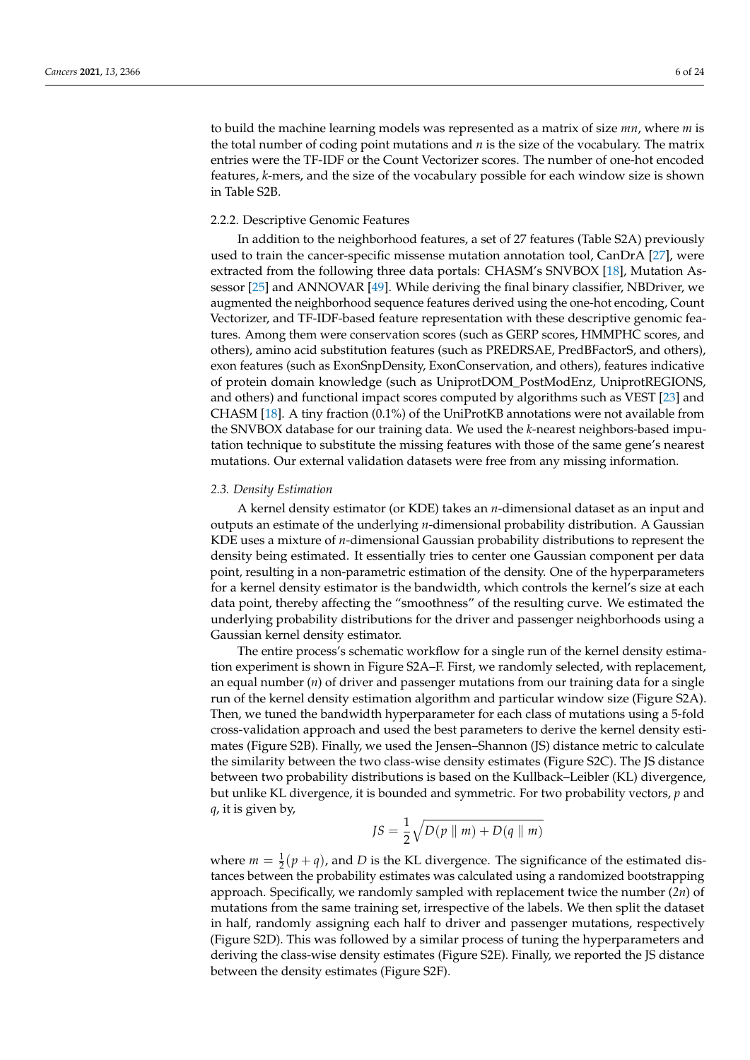to build the machine learning models was represented as a matrix of size *mn*, where *m* is the total number of coding point mutations and *n* is the size of the vocabulary. The matrix entries were the TF-IDF or the Count Vectorizer scores. The number of one-hot encoded features, *k*-mers, and the size of the vocabulary possible for each window size is shown in Table S2B.

## 2.2.2. Descriptive Genomic Features

In addition to the neighborhood features, a set of 27 features (Table S2A) previously used to train the cancer-specific missense mutation annotation tool, CanDrA [27], were extracted from the following three data portals: CHASM's SNVBOX [18], Mutation Assessor [25] and ANNOVAR [49]. While deriving the final binary classifier, NBDriver, we augmented the neighborhood sequence features derived using the one-hot encoding, Count Vectorizer, and TF-IDF-based feature representation with these descriptive genomic features. Among them were conservation scores (such as GERP scores, HMMPHC scores, and others), amino acid substitution features (such as PREDRSAE, PredBFactorS, and others), exon features (such as ExonSnpDensity, ExonConservation, and others), features indicative of protein domain knowledge (such as UniprotDOM\_PostModEnz, UniprotREGIONS, and others) and functional impact scores computed by algorithms such as VEST [23] and CHASM [18]. A tiny fraction (0.1%) of the UniProtKB annotations were not available from the SNVBOX database for our training data. We used the *k*-nearest neighbors-based imputation technique to substitute the missing features with those of the same gene's nearest mutations. Our external validation datasets were free from any missing information.

### *2.3. Density Estimation*

A kernel density estimator (or KDE) takes an *n*-dimensional dataset as an input and outputs an estimate of the underlying *n*-dimensional probability distribution. A Gaussian KDE uses a mixture of *n*-dimensional Gaussian probability distributions to represent the density being estimated. It essentially tries to center one Gaussian component per data point, resulting in a non-parametric estimation of the density. One of the hyperparameters for a kernel density estimator is the bandwidth, which controls the kernel's size at each data point, thereby affecting the "smoothness" of the resulting curve. We estimated the underlying probability distributions for the driver and passenger neighborhoods using a Gaussian kernel density estimator.

The entire process's schematic workflow for a single run of the kernel density estimation experiment is shown in Figure S2A–F. First, we randomly selected, with replacement, an equal number (*n*) of driver and passenger mutations from our training data for a single run of the kernel density estimation algorithm and particular window size (Figure S2A). Then, we tuned the bandwidth hyperparameter for each class of mutations using a 5-fold cross-validation approach and used the best parameters to derive the kernel density estimates (Figure S2B). Finally, we used the Jensen–Shannon (JS) distance metric to calculate the similarity between the two class-wise density estimates (Figure S2C). The JS distance between two probability distributions is based on the Kullback–Leibler (KL) divergence, but unlike KL divergence, it is bounded and symmetric. For two probability vectors, *p* and *q*, it is given by,

$$
JS = \frac{1}{2}\sqrt{D(p \parallel m) + D(q \parallel m)}
$$

where  $m = \frac{1}{2}(p+q)$ , and *D* is the KL divergence. The significance of the estimated distances between the probability estimates was calculated using a randomized bootstrapping approach. Specifically, we randomly sampled with replacement twice the number (*2n*) of mutations from the same training set, irrespective of the labels. We then split the dataset in half, randomly assigning each half to driver and passenger mutations, respectively (Figure S2D). This was followed by a similar process of tuning the hyperparameters and deriving the class-wise density estimates (Figure S2E). Finally, we reported the JS distance between the density estimates (Figure S2F).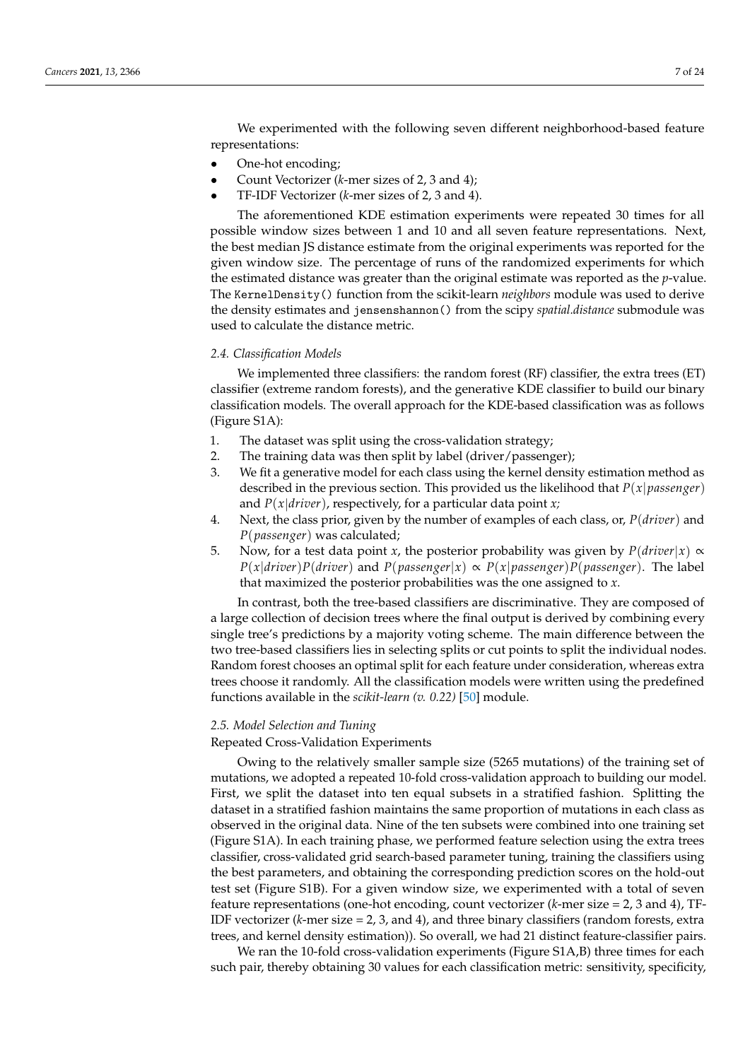We experimented with the following seven different neighborhood-based feature representations:

- One-hot encoding;
- Count Vectorizer (*k*-mer sizes of 2, 3 and 4);
- TF-IDF Vectorizer (*k*-mer sizes of 2, 3 and 4).

The aforementioned KDE estimation experiments were repeated 30 times for all possible window sizes between 1 and 10 and all seven feature representations. Next, the best median JS distance estimate from the original experiments was reported for the given window size. The percentage of runs of the randomized experiments for which the estimated distance was greater than the original estimate was reported as the *p*-value. The KernelDensity() function from the scikit-learn *neighbors* module was used to derive the density estimates and jensenshannon() from the scipy *spatial.distance* submodule was used to calculate the distance metric.

## *2.4. Classification Models*

We implemented three classifiers: the random forest (RF) classifier, the extra trees (ET) classifier (extreme random forests), and the generative KDE classifier to build our binary classification models. The overall approach for the KDE-based classification was as follows (Figure S1A):

- 1. The dataset was split using the cross-validation strategy;
- 2. The training data was then split by label (driver/passenger);
- 3. We fit a generative model for each class using the kernel density estimation method as described in the previous section. This provided us the likelihood that *P*(*x*|*passenger*) and *P*(*x*|*driver*), respectively, for a particular data point *x;*
- 4. Next, the class prior, given by the number of examples of each class, or, *P*(*driver*) and *P*(*passenger*) was calculated;
- 5. Now, for a test data point *x*, the posterior probability was given by  $P(driver|x) \propto$  $P(x|driver)P(driver)$  and  $P(passenger|x) \propto P(x|passenger)P(passenger)$ . The label that maximized the posterior probabilities was the one assigned to *x*.

In contrast, both the tree-based classifiers are discriminative. They are composed of a large collection of decision trees where the final output is derived by combining every single tree's predictions by a majority voting scheme. The main difference between the two tree-based classifiers lies in selecting splits or cut points to split the individual nodes. Random forest chooses an optimal split for each feature under consideration, whereas extra trees choose it randomly. All the classification models were written using the predefined functions available in the *scikit-learn (v. 0.22)* [50] module.

## *2.5. Model Selection and Tuning*

## Repeated Cross-Validation Experiments

Owing to the relatively smaller sample size (5265 mutations) of the training set of mutations, we adopted a repeated 10-fold cross-validation approach to building our model. First, we split the dataset into ten equal subsets in a stratified fashion. Splitting the dataset in a stratified fashion maintains the same proportion of mutations in each class as observed in the original data. Nine of the ten subsets were combined into one training set (Figure S1A). In each training phase, we performed feature selection using the extra trees classifier, cross-validated grid search-based parameter tuning, training the classifiers using the best parameters, and obtaining the corresponding prediction scores on the hold-out test set (Figure S1B). For a given window size, we experimented with a total of seven feature representations (one-hot encoding, count vectorizer (*k*-mer size = 2, 3 and 4), TF-IDF vectorizer (*k*-mer size = 2, 3, and 4), and three binary classifiers (random forests, extra trees, and kernel density estimation)). So overall, we had 21 distinct feature-classifier pairs.

We ran the 10-fold cross-validation experiments (Figure S1A,B) three times for each such pair, thereby obtaining 30 values for each classification metric: sensitivity, specificity,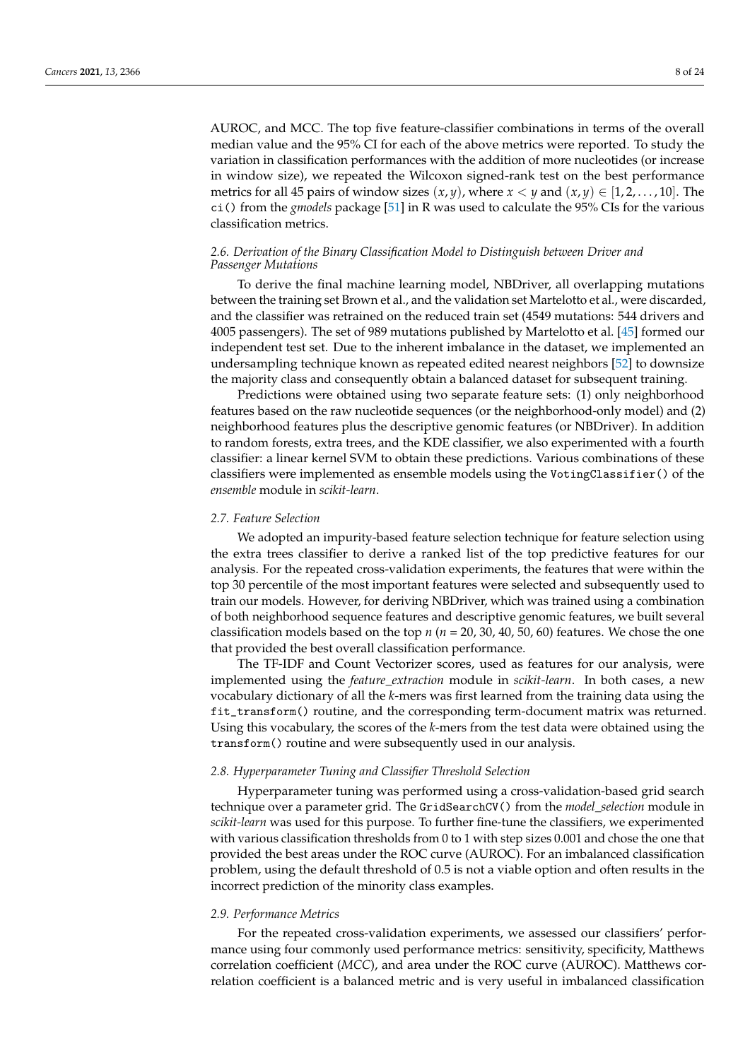AUROC, and MCC. The top five feature-classifier combinations in terms of the overall median value and the 95% CI for each of the above metrics were reported. To study the variation in classification performances with the addition of more nucleotides (or increase in window size), we repeated the Wilcoxon signed-rank test on the best performance metrics for all 45 pairs of window sizes  $(x, y)$ , where  $x < y$  and  $(x, y) \in [1, 2, \ldots, 10]$ . The ci() from the *gmodels* package [51] in R was used to calculate the 95% CIs for the various classification metrics.

# *2.6. Derivation of the Binary Classification Model to Distinguish between Driver and Passenger Mutations*

To derive the final machine learning model, NBDriver, all overlapping mutations between the training set Brown et al., and the validation set Martelotto et al., were discarded, and the classifier was retrained on the reduced train set (4549 mutations: 544 drivers and 4005 passengers). The set of 989 mutations published by Martelotto et al. [45] formed our independent test set. Due to the inherent imbalance in the dataset, we implemented an undersampling technique known as repeated edited nearest neighbors [52] to downsize the majority class and consequently obtain a balanced dataset for subsequent training.

Predictions were obtained using two separate feature sets: (1) only neighborhood features based on the raw nucleotide sequences (or the neighborhood-only model) and (2) neighborhood features plus the descriptive genomic features (or NBDriver). In addition to random forests, extra trees, and the KDE classifier, we also experimented with a fourth classifier: a linear kernel SVM to obtain these predictions. Various combinations of these classifiers were implemented as ensemble models using the VotingClassifier() of the *ensemble* module in *scikit-learn*.

## *2.7. Feature Selection*

We adopted an impurity-based feature selection technique for feature selection using the extra trees classifier to derive a ranked list of the top predictive features for our analysis. For the repeated cross-validation experiments, the features that were within the top 30 percentile of the most important features were selected and subsequently used to train our models. However, for deriving NBDriver, which was trained using a combination of both neighborhood sequence features and descriptive genomic features, we built several classification models based on the top *n* (*n* = 20, 30, 40, 50, 60) features. We chose the one that provided the best overall classification performance.

The TF-IDF and Count Vectorizer scores, used as features for our analysis, were implemented using the *feature\_extraction* module in *scikit-learn*. In both cases, a new vocabulary dictionary of all the *k*-mers was first learned from the training data using the fit\_transform() routine, and the corresponding term-document matrix was returned. Using this vocabulary, the scores of the *k*-mers from the test data were obtained using the transform() routine and were subsequently used in our analysis.

### *2.8. Hyperparameter Tuning and Classifier Threshold Selection*

Hyperparameter tuning was performed using a cross-validation-based grid search technique over a parameter grid. The GridSearchCV() from the *model\_selection* module in *scikit-learn* was used for this purpose. To further fine-tune the classifiers, we experimented with various classification thresholds from 0 to 1 with step sizes 0.001 and chose the one that provided the best areas under the ROC curve (AUROC). For an imbalanced classification problem, using the default threshold of 0.5 is not a viable option and often results in the incorrect prediction of the minority class examples.

## *2.9. Performance Metrics*

For the repeated cross-validation experiments, we assessed our classifiers' performance using four commonly used performance metrics: sensitivity, specificity, Matthews correlation coefficient (*MCC*), and area under the ROC curve (AUROC). Matthews correlation coefficient is a balanced metric and is very useful in imbalanced classification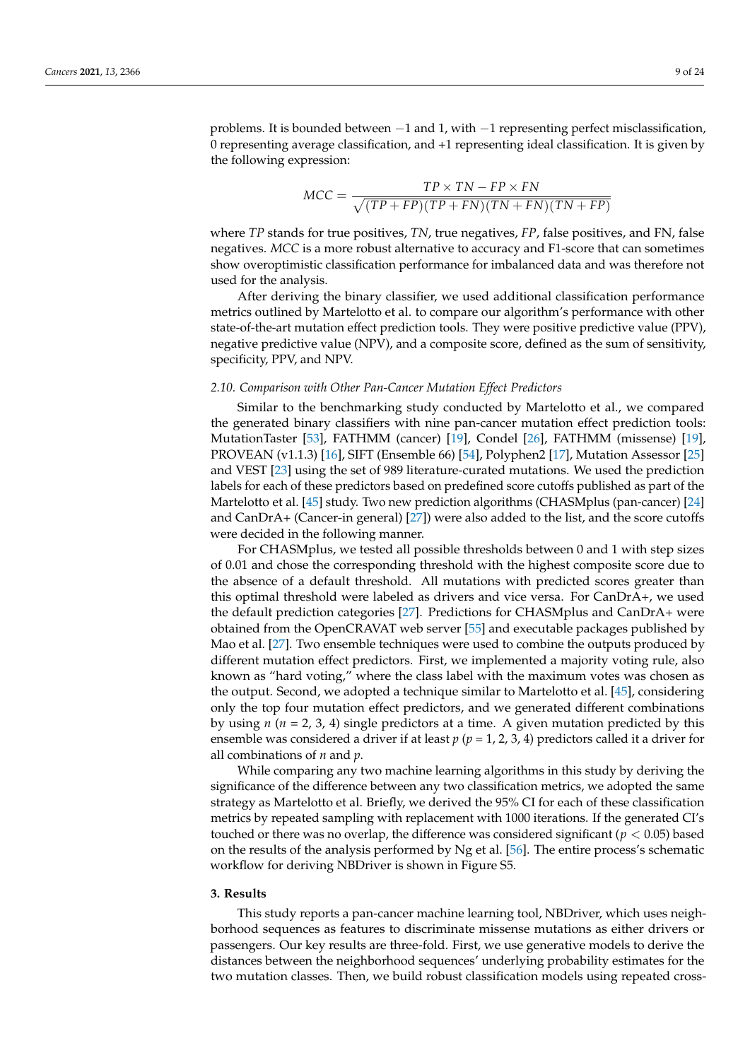problems. It is bounded between −1 and 1, with −1 representing perfect misclassification, 0 representing average classification, and +1 representing ideal classification. It is given by the following expression:

$$
MCC = \frac{TP \times TN - FP \times FN}{\sqrt{(TP + FP)(TP + FN)(TN + FN)(TN + FP)}}
$$

where *TP* stands for true positives, *TN*, true negatives, *FP*, false positives, and FN, false negatives. *MCC* is a more robust alternative to accuracy and F1-score that can sometimes show overoptimistic classification performance for imbalanced data and was therefore not used for the analysis.

After deriving the binary classifier, we used additional classification performance metrics outlined by Martelotto et al. to compare our algorithm's performance with other state-of-the-art mutation effect prediction tools. They were positive predictive value (PPV), negative predictive value (NPV), and a composite score, defined as the sum of sensitivity, specificity, PPV, and NPV.

### *2.10. Comparison with Other Pan-Cancer Mutation Effect Predictors*

Similar to the benchmarking study conducted by Martelotto et al., we compared the generated binary classifiers with nine pan-cancer mutation effect prediction tools: MutationTaster [53], FATHMM (cancer) [19], Condel [26], FATHMM (missense) [19], PROVEAN (v1.1.3) [16], SIFT (Ensemble 66) [54], Polyphen2 [17], Mutation Assessor [25] and VEST [23] using the set of 989 literature-curated mutations. We used the prediction labels for each of these predictors based on predefined score cutoffs published as part of the Martelotto et al. [45] study. Two new prediction algorithms (CHASMplus (pan-cancer) [24] and CanDrA+ (Cancer-in general) [27]) were also added to the list, and the score cutoffs were decided in the following manner.

For CHASMplus, we tested all possible thresholds between 0 and 1 with step sizes of 0.01 and chose the corresponding threshold with the highest composite score due to the absence of a default threshold. All mutations with predicted scores greater than this optimal threshold were labeled as drivers and vice versa. For CanDrA+, we used the default prediction categories [27]. Predictions for CHASMplus and CanDrA+ were obtained from the OpenCRAVAT web server [55] and executable packages published by Mao et al. [27]. Two ensemble techniques were used to combine the outputs produced by different mutation effect predictors. First, we implemented a majority voting rule, also known as "hard voting," where the class label with the maximum votes was chosen as the output. Second, we adopted a technique similar to Martelotto et al. [45], considering only the top four mutation effect predictors, and we generated different combinations by using  $n (n = 2, 3, 4)$  single predictors at a time. A given mutation predicted by this ensemble was considered a driver if at least *p* (*p* = 1, 2, 3, 4) predictors called it a driver for all combinations of *n* and *p*.

While comparing any two machine learning algorithms in this study by deriving the significance of the difference between any two classification metrics, we adopted the same strategy as Martelotto et al. Briefly, we derived the 95% CI for each of these classification metrics by repeated sampling with replacement with 1000 iterations. If the generated CI's touched or there was no overlap, the difference was considered significant ( $p < 0.05$ ) based on the results of the analysis performed by Ng et al. [56]. The entire process's schematic workflow for deriving NBDriver is shown in Figure S5.

#### **3. Results**

This study reports a pan-cancer machine learning tool, NBDriver, which uses neighborhood sequences as features to discriminate missense mutations as either drivers or passengers. Our key results are three-fold. First, we use generative models to derive the distances between the neighborhood sequences' underlying probability estimates for the two mutation classes. Then, we build robust classification models using repeated cross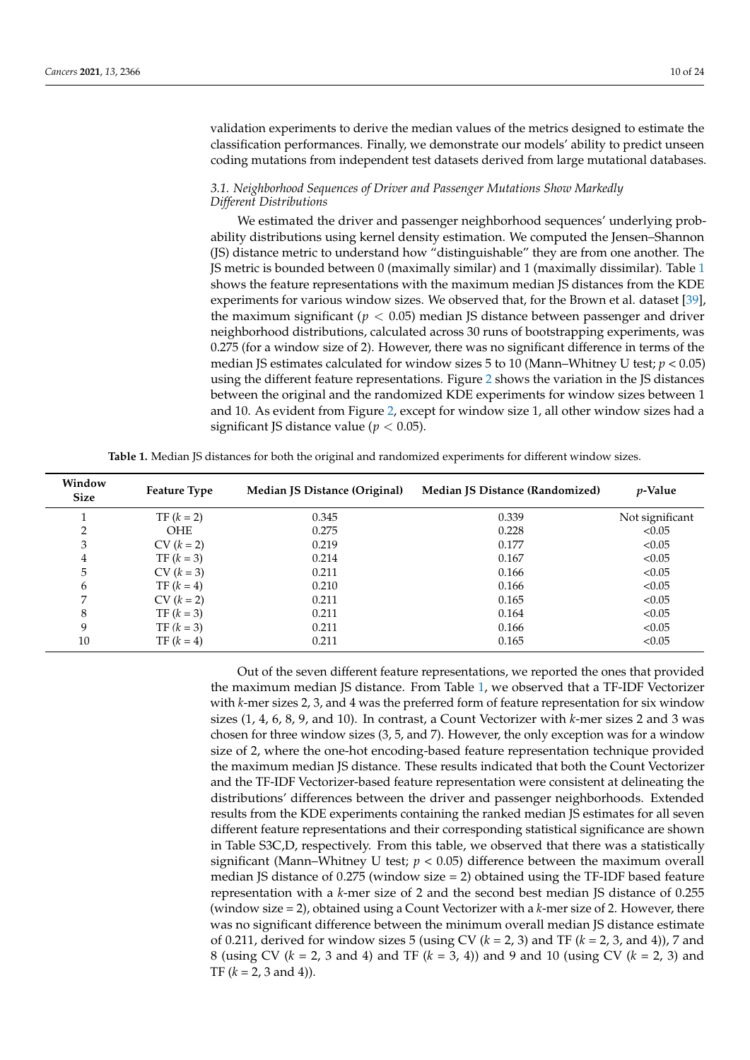validation experiments to derive the median values of the metrics designed to estimate the classification performances. Finally, we demonstrate our models' ability to predict unseen coding mutations from independent test datasets derived from large mutational databases.

## *3.1. Neighborhood Sequences of Driver and Passenger Mutations Show Markedly Different Distributions*

We estimated the driver and passenger neighborhood sequences' underlying probability distributions using kernel density estimation. We computed the Jensen–Shannon (JS) distance metric to understand how "distinguishable" they are from one another. The JS metric is bounded between 0 (maximally similar) and 1 (maximally dissimilar). Table 1 shows the feature representations with the maximum median JS distances from the KDE experiments for various window sizes. We observed that, for the Brown et al. dataset [39], the maximum significant ( $p < 0.05$ ) median JS distance between passenger and driver neighborhood distributions, calculated across 30 runs of bootstrapping experiments, was 0.275 (for a window size of 2). However, there was no significant difference in terms of the median JS estimates calculated for window sizes 5 to 10 (Mann–Whitney U test; *p* < 0.05) using the different feature representations. Figure 2 shows the variation in the JS distances between the original and the randomized KDE experiments for window sizes between 1 and 10. As evident from Figure 2, except for window size 1, all other window sizes had a significant JS distance value ( $p < 0.05$ ).

| Window<br><b>Size</b> | <b>Feature Type</b> | Median JS Distance (Original) | <b>Median JS Distance (Randomized)</b> | <i>p</i> -Value |  |  |
|-----------------------|---------------------|-------------------------------|----------------------------------------|-----------------|--|--|
|                       | $TF (k = 2)$        | 0.345                         | 0.339                                  | Not significant |  |  |
| 2                     | <b>OHE</b>          | 0.275                         | 0.228                                  | < 0.05          |  |  |
| 3                     | $CV (k = 2)$        | 0.219                         | 0.177                                  | < 0.05          |  |  |
| 4                     | $TF (k = 3)$        | 0.214                         | 0.167                                  | < 0.05          |  |  |
| 5                     | $CV (k = 3)$        | 0.211                         | 0.166                                  | < 0.05          |  |  |
| 6                     | $TF (k = 4)$        | 0.210                         | 0.166                                  | < 0.05          |  |  |
| 7                     | $CV (k = 2)$        | 0.211                         | 0.165                                  | < 0.05          |  |  |
| 8                     | $TF (k = 3)$        | 0.211                         | 0.164                                  | < 0.05          |  |  |
| 9                     | $TF (k = 3)$        | 0.211                         | 0.166                                  | < 0.05          |  |  |
| 10                    | $TF (k = 4)$        | 0.211                         | 0.165                                  | < 0.05          |  |  |

**Table 1.** Median JS distances for both the original and randomized experiments for different window sizes.

Out of the seven different feature representations, we reported the ones that provided the maximum median JS distance. From Table 1, we observed that a TF-IDF Vectorizer with *k*-mer sizes 2, 3, and 4 was the preferred form of feature representation for six window sizes (1, 4, 6, 8, 9, and 10). In contrast, a Count Vectorizer with *k*-mer sizes 2 and 3 was chosen for three window sizes (3, 5, and 7). However, the only exception was for a window size of 2, where the one-hot encoding-based feature representation technique provided the maximum median JS distance. These results indicated that both the Count Vectorizer and the TF-IDF Vectorizer-based feature representation were consistent at delineating the distributions' differences between the driver and passenger neighborhoods. Extended results from the KDE experiments containing the ranked median JS estimates for all seven different feature representations and their corresponding statistical significance are shown in Table S3C,D, respectively. From this table, we observed that there was a statistically significant (Mann–Whitney U test;  $p < 0.05$ ) difference between the maximum overall median JS distance of 0.275 (window size  $= 2$ ) obtained using the TF-IDF based feature representation with a *k*-mer size of 2 and the second best median JS distance of 0.255 (window size = 2), obtained using a Count Vectorizer with a *k*-mer size of 2. However, there was no significant difference between the minimum overall median JS distance estimate of 0.211, derived for window sizes 5 (using CV (*k* = 2, 3) and TF (*k* = 2, 3, and 4)), 7 and 8 (using CV (*k* = 2, 3 and 4) and TF (*k* = 3, 4)) and 9 and 10 (using CV (*k* = 2, 3) and TF  $(k = 2, 3 \text{ and } 4)$ ).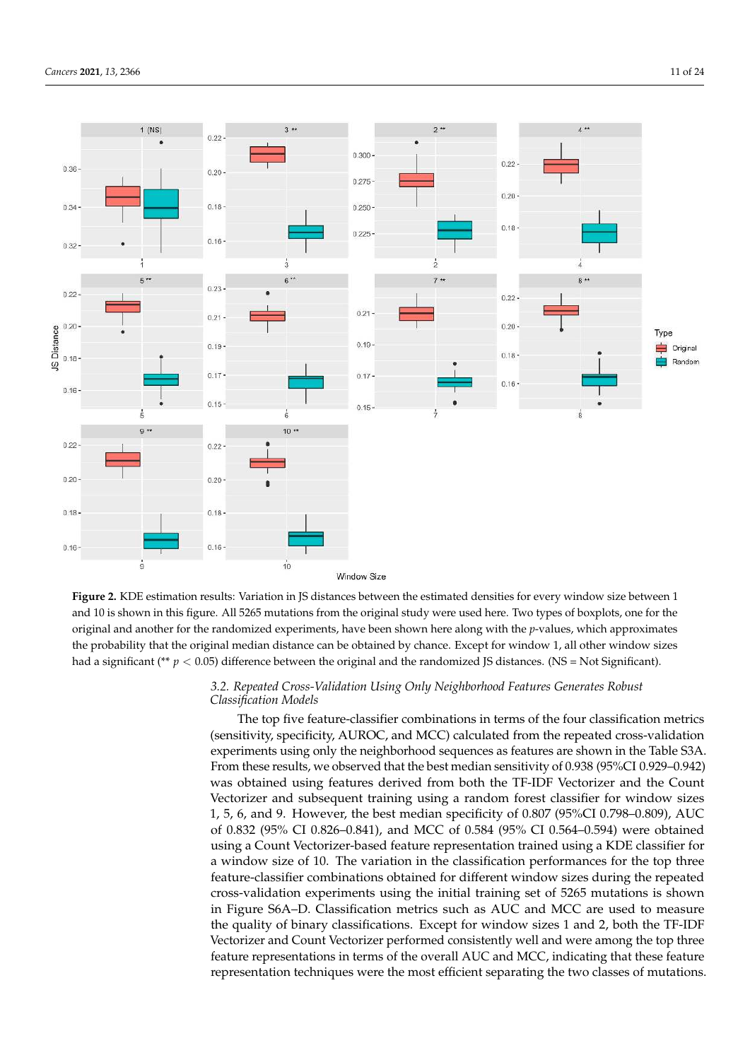

**Figure 2.** KDE estimation results: Variation in JS distances between the estimated densities for every window size between 1 and 10 is shown in this figure. All 5265 mutations from the original study were used here. Two types of boxplots, one for the original and another for the randomized experiments, have been shown here along with the *p*-values, which approximates the probability that the original median distance can be obtained by chance. Except for window 1, all other window sizes had a significant (\*\* *p* < 0.05) difference between the original and the randomized JS distances. (NS = Not Significant).

## $\overline{\mathcal{O}}$ *3.2. Repeated Cross-Validation Using Only Neighborhood Features Generates Robust Classification Models*

The top five feature-classifier combinations in terms of the four classification metrics (sensitivity, specificity, AUROC, and MCC) calculated from the repeated cross-validation experiments using only the neighborhood sequences as features are shown in the Table S3A. From these results, we observed that the best median sensitivity of 0.938 (95%CI 0.929–0.942) was obtained using features derived from both the TF-IDF Vectorizer and the Count Vectorizer and subsequent training using a random forest classifier for window sizes 1, 5, 6, and 9. However, the best median specificity of 0.807 (95%CI 0.798–0.809), AUC of 0.832 (95% CI 0.826–0.841), and MCC of 0.584 (95% CI 0.564–0.594) were obtained using a Count Vectorizer-based feature representation trained using a KDE classifier for a window size of 10. The variation in the classification performances for the top three feature-classifier combinations obtained for different window sizes during the repeated cross-validation experiments using the initial training set of 5265 mutations is shown in Figure S6A–D. Classification metrics such as AUC and MCC are used to measure the quality of binary classifications. Except for window sizes 1 and 2, both the TF-IDF Vectorizer and Count Vectorizer performed consistently well and were among the top three feature representations in terms of the overall AUC and MCC, indicating that these feature representation techniques were the most efficient separating the two classes of mutations.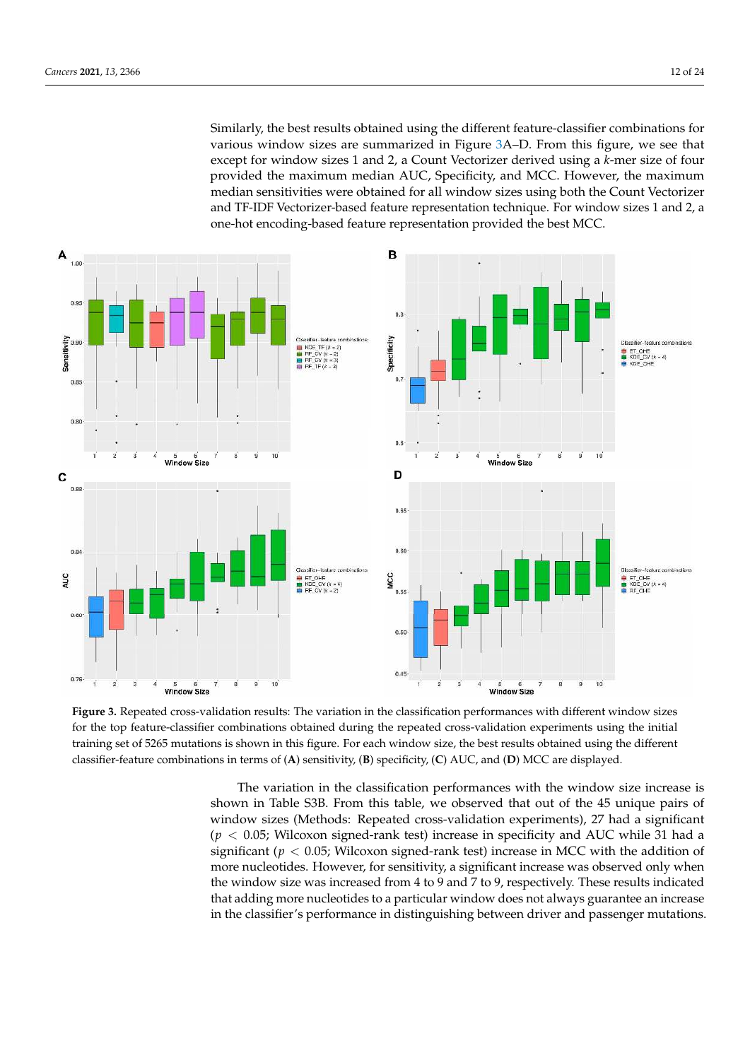Similarly, the best results obtained using the different feature-classifier combinations for various window sizes are summarized in Figure 3A–D. From this figure, we see that except for window sizes 1 and 2, a Count Vectorizer derived using a *k*-mer size of four provided the maximum median AUC, Specificity, and MCC. However, the maximum median sensitivities were obtained for all window sizes using both the Count Vectorizer and TF-IDF Vectorizer-based feature representation technique. For window sizes 1 and 2, a one-hot encoding-based feature representation provided the best MCC.



**Figure 3.** Repeated cross-validation results: The variation in the classification performances with different window sizes for the top feature-classifier combinations obtained during the repeated cross-validation experiments using the initial training set of 5265 mutations is shown in this figure. For each window size, the best results obtained using the different classifier-feature combinations in terms of (**A**) sensitivity, (**B**) specificity, (**C**) AUC, and (**D**) MCC are displayed.

The variation in the classification performances with the window size increase is shown in Table S3B. From this table, we observed that out of the 45 unique pairs of window sizes (Methods: Repeated cross-validation experiments), 27 had a significant  $(p < 0.05$ ; Wilcoxon signed-rank test) increase in specificity and AUC while 31 had a significant ( $p < 0.05$ ; Wilcoxon signed-rank test) increase in MCC with the addition of more nucleotides. However, for sensitivity, a significant increase was observed only when the window size was increased from 4 to 9 and 7 to 9, respectively. These results indicated that adding more nucleotides to a particular window does not always guarantee an increase in the classifier's performance in distinguishing between driver and passenger mutations.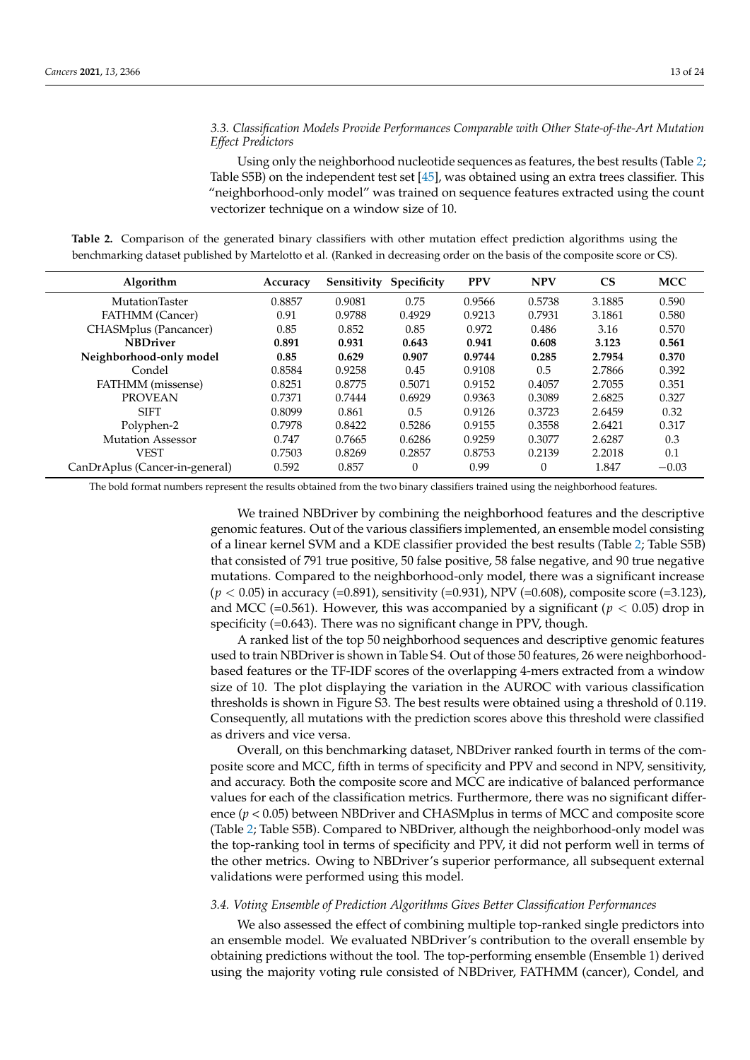# *3.3. Classification Models Provide Performances Comparable with Other State-of-the-Art Mutation Effect Predictors*

Using only the neighborhood nucleotide sequences as features, the best results (Table 2; Table S5B) on the independent test set [45], was obtained using an extra trees classifier. This "neighborhood-only model" was trained on sequence features extracted using the count vectorizer technique on a window size of 10.

**Table 2.** Comparison of the generated binary classifiers with other mutation effect prediction algorithms using the benchmarking dataset published by Martelotto et al. (Ranked in decreasing order on the basis of the composite score or CS).

| Algorithm                      | Accuracy | Sensitivity | Specificity | <b>PPV</b> | <b>NPV</b> | <b>CS</b> | <b>MCC</b> |
|--------------------------------|----------|-------------|-------------|------------|------------|-----------|------------|
| MutationTaster                 | 0.8857   | 0.9081      | 0.75        | 0.9566     | 0.5738     | 3.1885    | 0.590      |
| <b>FATHMM</b> (Cancer)         | 0.91     | 0.9788      | 0.4929      | 0.9213     | 0.7931     | 3.1861    | 0.580      |
| CHASMplus (Pancancer)          | 0.85     | 0.852       | 0.85        | 0.972      | 0.486      | 3.16      | 0.570      |
| <b>NBDriver</b>                | 0.891    | 0.931       | 0.643       | 0.941      | 0.608      | 3.123     | 0.561      |
| Neighborhood-only model        | 0.85     | 0.629       | 0.907       | 0.9744     | 0.285      | 2.7954    | 0.370      |
| Condel                         | 0.8584   | 0.9258      | 0.45        | 0.9108     | 0.5        | 2.7866    | 0.392      |
| FATHMM (missense)              | 0.8251   | 0.8775      | 0.5071      | 0.9152     | 0.4057     | 2.7055    | 0.351      |
| <b>PROVEAN</b>                 | 0.7371   | 0.7444      | 0.6929      | 0.9363     | 0.3089     | 2.6825    | 0.327      |
| <b>SIFT</b>                    | 0.8099   | 0.861       | 0.5         | 0.9126     | 0.3723     | 2.6459    | 0.32       |
| Polyphen-2                     | 0.7978   | 0.8422      | 0.5286      | 0.9155     | 0.3558     | 2.6421    | 0.317      |
| <b>Mutation Assessor</b>       | 0.747    | 0.7665      | 0.6286      | 0.9259     | 0.3077     | 2.6287    | 0.3        |
| <b>VEST</b>                    | 0.7503   | 0.8269      | 0.2857      | 0.8753     | 0.2139     | 2.2018    | 0.1        |
| CanDrAplus (Cancer-in-general) | 0.592    | 0.857       |             | 0.99       | $\theta$   | 1.847     | $-0.03$    |

The bold format numbers represent the results obtained from the two binary classifiers trained using the neighborhood features.

We trained NBDriver by combining the neighborhood features and the descriptive genomic features. Out of the various classifiers implemented, an ensemble model consisting of a linear kernel SVM and a KDE classifier provided the best results (Table 2; Table S5B) that consisted of 791 true positive, 50 false positive, 58 false negative, and 90 true negative mutations. Compared to the neighborhood-only model, there was a significant increase (*p* < 0.05) in accuracy (=0.891), sensitivity (=0.931), NPV (=0.608), composite score (=3.123), and MCC (=0.561). However, this was accompanied by a significant ( $p < 0.05$ ) drop in specificity (=0.643). There was no significant change in PPV, though.

A ranked list of the top 50 neighborhood sequences and descriptive genomic features used to train NBDriver is shown in Table S4. Out of those 50 features, 26 were neighborhoodbased features or the TF-IDF scores of the overlapping 4-mers extracted from a window size of 10. The plot displaying the variation in the AUROC with various classification thresholds is shown in Figure S3. The best results were obtained using a threshold of 0.119. Consequently, all mutations with the prediction scores above this threshold were classified as drivers and vice versa.

Overall, on this benchmarking dataset, NBDriver ranked fourth in terms of the composite score and MCC, fifth in terms of specificity and PPV and second in NPV, sensitivity, and accuracy. Both the composite score and MCC are indicative of balanced performance values for each of the classification metrics. Furthermore, there was no significant difference (*p* < 0.05) between NBDriver and CHASMplus in terms of MCC and composite score (Table 2; Table S5B). Compared to NBDriver, although the neighborhood-only model was the top-ranking tool in terms of specificity and PPV, it did not perform well in terms of the other metrics. Owing to NBDriver's superior performance, all subsequent external validations were performed using this model.

## *3.4. Voting Ensemble of Prediction Algorithms Gives Better Classification Performances*

We also assessed the effect of combining multiple top-ranked single predictors into an ensemble model. We evaluated NBDriver's contribution to the overall ensemble by obtaining predictions without the tool. The top-performing ensemble (Ensemble 1) derived using the majority voting rule consisted of NBDriver, FATHMM (cancer), Condel, and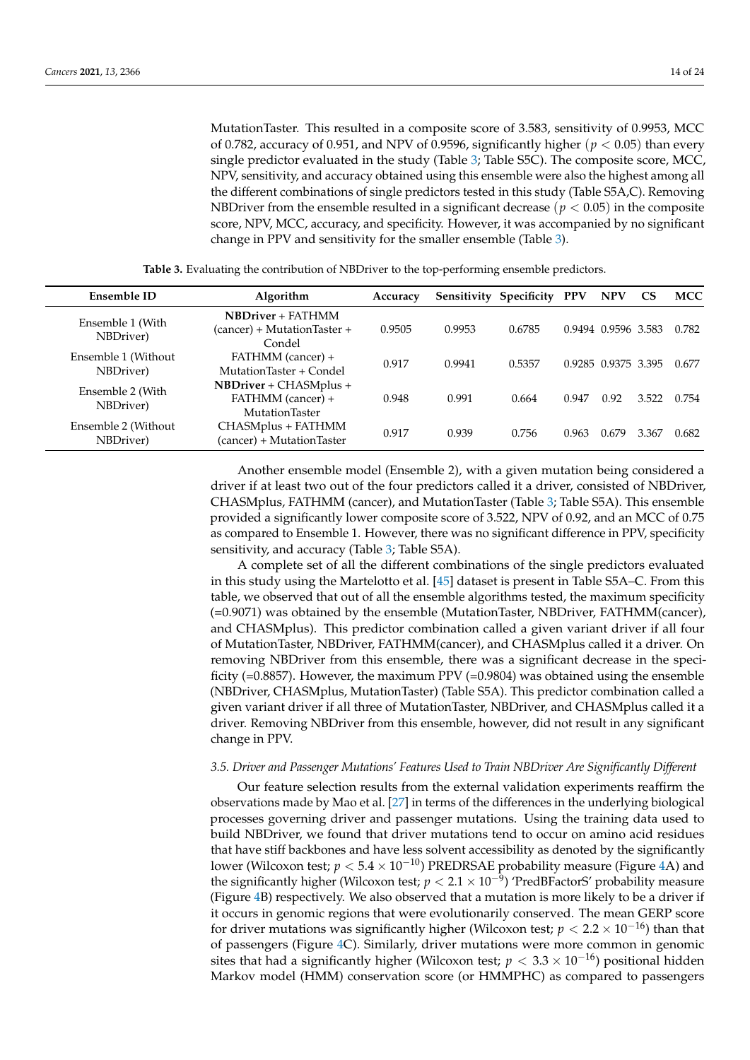MutationTaster. This resulted in a composite score of 3.583, sensitivity of 0.9953, MCC of 0.782, accuracy of 0.951, and NPV of 0.9596, significantly higher (*p* < 0.05) than every single predictor evaluated in the study (Table 3; Table S5C). The composite score, MCC, NPV, sensitivity, and accuracy obtained using this ensemble were also the highest among all the different combinations of single predictors tested in this study (Table S5A,C). Removing NBD river from the ensemble resulted in a significant decrease ( $p < 0.05$ ) in the composite score, NPV, MCC, accuracy, and specificity. However, it was accompanied by no significant change in PPV and sensitivity for the smaller ensemble (Table 3).

| Ensemble ID                      | Algorithm                                                         | Accuracy |        | Sensitivity Specificity | <b>PPV</b> | <b>NPV</b>          | <b>CS</b> | <b>MCC</b> |
|----------------------------------|-------------------------------------------------------------------|----------|--------|-------------------------|------------|---------------------|-----------|------------|
| Ensemble 1 (With<br>NBDriver)    | <b>NBDriver</b> + FATHMM<br>(cancer) + MutationTaster +<br>Condel | 0.9505   | 0.9953 | 0.6785                  |            | 0.9494 0.9596 3.583 |           | 0.782      |
| Ensemble 1 (Without<br>NBDriver) | FATHMM (cancer) +<br>MutationTaster + Condel                      | 0.917    | 0.9941 | 0.5357                  |            | 0.9285 0.9375 3.395 |           | 0.677      |
| Ensemble 2 (With<br>NBDriver)    | $NBDriver + CHASMplus +$<br>FATHMM (cancer) +<br>MutationTaster   | 0.948    | 0.991  | 0.664                   | 0.947      | 0.92                | 3.522     | 0.754      |
| Ensemble 2 (Without<br>NBDriver) | CHASMplus + FATHMM<br>(cancer) + MutationTaster                   | 0.917    | 0.939  | 0.756                   | 0.963      | 0.679               | 3.367     | 0.682      |

**Table 3.** Evaluating the contribution of NBDriver to the top-performing ensemble predictors.

Another ensemble model (Ensemble 2), with a given mutation being considered a driver if at least two out of the four predictors called it a driver, consisted of NBDriver, CHASMplus, FATHMM (cancer), and MutationTaster (Table 3; Table S5A). This ensemble provided a significantly lower composite score of 3.522, NPV of 0.92, and an MCC of 0.75 as compared to Ensemble 1. However, there was no significant difference in PPV, specificity sensitivity, and accuracy (Table 3; Table S5A).

A complete set of all the different combinations of the single predictors evaluated in this study using the Martelotto et al. [45] dataset is present in Table S5A–C. From this table, we observed that out of all the ensemble algorithms tested, the maximum specificity (=0.9071) was obtained by the ensemble (MutationTaster, NBDriver, FATHMM(cancer), and CHASMplus). This predictor combination called a given variant driver if all four of MutationTaster, NBDriver, FATHMM(cancer), and CHASMplus called it a driver. On removing NBDriver from this ensemble, there was a significant decrease in the specificity ( $=0.8857$ ). However, the maximum PPV ( $=0.9804$ ) was obtained using the ensemble (NBDriver, CHASMplus, MutationTaster) (Table S5A). This predictor combination called a given variant driver if all three of MutationTaster, NBDriver, and CHASMplus called it a driver. Removing NBDriver from this ensemble, however, did not result in any significant change in PPV.

## *3.5. Driver and Passenger Mutations' Features Used to Train NBDriver Are Significantly Different*

Our feature selection results from the external validation experiments reaffirm the observations made by Mao et al. [27] in terms of the differences in the underlying biological processes governing driver and passenger mutations. Using the training data used to build NBDriver, we found that driver mutations tend to occur on amino acid residues that have stiff backbones and have less solvent accessibility as denoted by the significantly lower (Wilcoxon test;  $p < 5.4 \times 10^{-10}$ ) PREDRSAE probability measure (Figure 4A) and the significantly higher (Wilcoxon test; *p* < 2.1 × 10−<sup>9</sup> ) 'PredBFactorS' probability measure (Figure 4B) respectively. We also observed that a mutation is more likely to be a driver if it occurs in genomic regions that were evolutionarily conserved. The mean GERP score for driver mutations was significantly higher (Wilcoxon test;  $p < 2.2 \times 10^{-16}$ ) than that of passengers (Figure 4C). Similarly, driver mutations were more common in genomic sites that had a significantly higher (Wilcoxon test;  $p < 3.3 \times 10^{-16}$ ) positional hidden Markov model (HMM) conservation score (or HMMPHC) as compared to passengers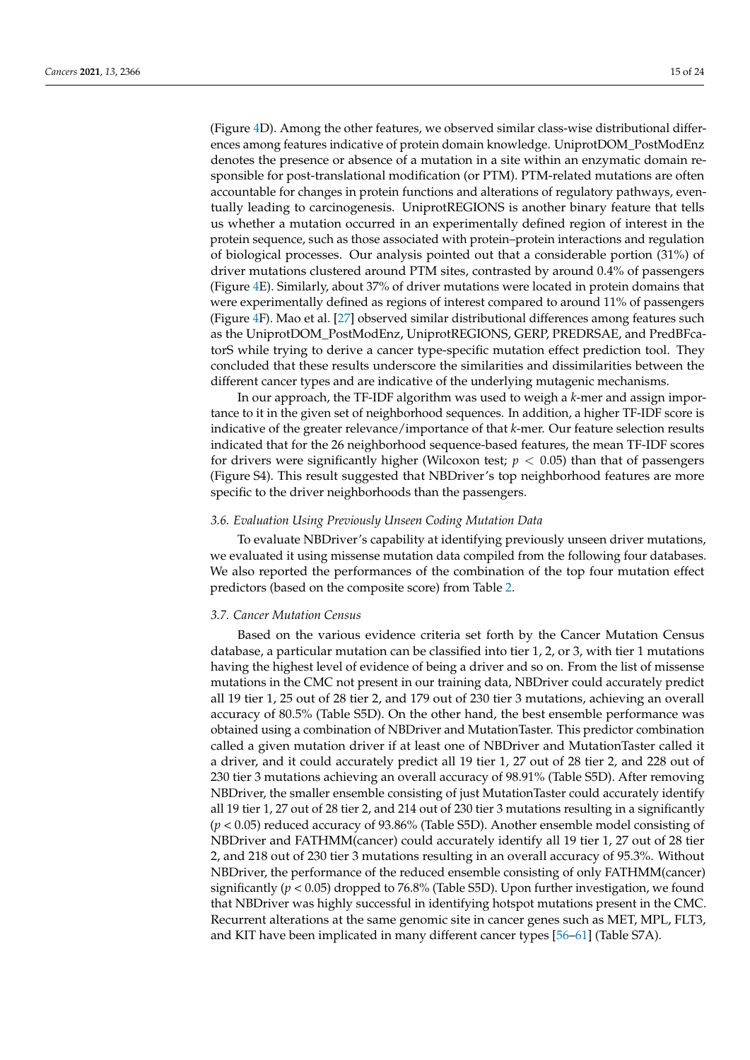(Figure 4D). Among the other features, we observed similar class-wise distributional differences among features indicative of protein domain knowledge. UniprotDOM\_PostModEnz denotes the presence or absence of a mutation in a site within an enzymatic domain responsible for post-translational modification (or PTM). PTM-related mutations are often accountable for changes in protein functions and alterations of regulatory pathways, eventually leading to carcinogenesis. UniprotREGIONS is another binary feature that tells us whether a mutation occurred in an experimentally defined region of interest in the protein sequence, such as those associated with protein–protein interactions and regulation of biological processes. Our analysis pointed out that a considerable portion (31%) of driver mutations clustered around PTM sites, contrasted by around 0.4% of passengers (Figure 4E). Similarly, about 37% of driver mutations were located in protein domains that were experimentally defined as regions of interest compared to around 11% of passengers (Figure 4F). Mao et al. [27] observed similar distributional differences among features such as the UniprotDOM\_PostModEnz, UniprotREGIONS, GERP, PREDRSAE, and PredBFcatorS while trying to derive a cancer type-specific mutation effect prediction tool. They concluded that these results underscore the similarities and dissimilarities between the different cancer types and are indicative of the underlying mutagenic mechanisms.

In our approach, the TF-IDF algorithm was used to weigh a *k*-mer and assign importance to it in the given set of neighborhood sequences. In addition, a higher TF-IDF score is indicative of the greater relevance/importance of that *k*-mer. Our feature selection results indicated that for the 26 neighborhood sequence-based features, the mean TF-IDF scores for drivers were significantly higher (Wilcoxon test;  $p < 0.05$ ) than that of passengers (Figure S4). This result suggested that NBDriver's top neighborhood features are more specific to the driver neighborhoods than the passengers.

### *3.6. Evaluation Using Previously Unseen Coding Mutation Data*

To evaluate NBDriver's capability at identifying previously unseen driver mutations, we evaluated it using missense mutation data compiled from the following four databases. We also reported the performances of the combination of the top four mutation effect predictors (based on the composite score) from Table 2.

## *3.7. Cancer Mutation Census*

Based on the various evidence criteria set forth by the Cancer Mutation Census database, a particular mutation can be classified into tier 1, 2, or 3, with tier 1 mutations having the highest level of evidence of being a driver and so on. From the list of missense mutations in the CMC not present in our training data, NBDriver could accurately predict all 19 tier 1, 25 out of 28 tier 2, and 179 out of 230 tier 3 mutations, achieving an overall accuracy of 80.5% (Table S5D). On the other hand, the best ensemble performance was obtained using a combination of NBDriver and MutationTaster. This predictor combination called a given mutation driver if at least one of NBDriver and MutationTaster called it a driver, and it could accurately predict all 19 tier 1, 27 out of 28 tier 2, and 228 out of 230 tier 3 mutations achieving an overall accuracy of 98.91% (Table S5D). After removing NBDriver, the smaller ensemble consisting of just MutationTaster could accurately identify all 19 tier 1, 27 out of 28 tier 2, and 214 out of 230 tier 3 mutations resulting in a significantly (*p* < 0.05) reduced accuracy of 93.86% (Table S5D). Another ensemble model consisting of NBDriver and FATHMM(cancer) could accurately identify all 19 tier 1, 27 out of 28 tier 2, and 218 out of 230 tier 3 mutations resulting in an overall accuracy of 95.3%. Without NBDriver, the performance of the reduced ensemble consisting of only FATHMM(cancer) significantly  $(p < 0.05)$  dropped to 76.8% (Table S5D). Upon further investigation, we found that NBDriver was highly successful in identifying hotspot mutations present in the CMC. Recurrent alterations at the same genomic site in cancer genes such as MET, MPL, FLT3, and KIT have been implicated in many different cancer types [56–61] (Table S7A).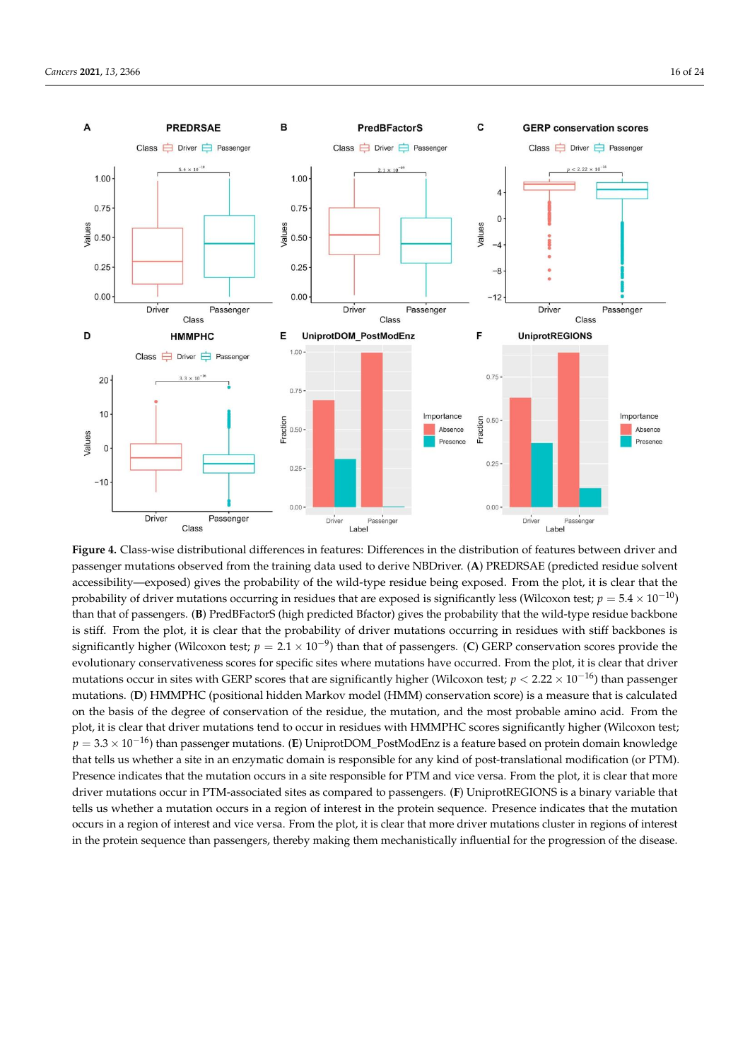

— accessibility—exposed) gives the probability of the wild-type residue being exposed. From the plot, it is clear that the probability of driver mutations occurring in residues that are exposed is significantly less (Wilcoxon test;  $p = 5.4 \times 10^{-10}$ ) = 2.1 × 10 −09 significantly higher (Wilcoxon test; *p* = 2.1 × 10−<sup>9</sup> ) than that of passengers. (**C**) GERP conservation scores provide the < 2.22 × 10 mutations occur in sites with GERP scores that are significantly higher (Wilcoxon test; *p* < 2.22 × 10−16) than passenger −16 evolutionary conservativeness scores for specific sites where mutations have occurred. From the plot, it is clear that driver plot, it is clear that driver mutations tend to occur in residues with HMMPHC scores significantly higher (Wilcoxon test; **Figure 4.** Class-wise distributional differences in features: Differences in the distribution of features between driver and passenger mutations observed from the training data used to derive NBDriver. (**A**) PREDRSAE (predicted residue solvent than that of passengers. (**B**) PredBFactorS (high predicted Bfactor) gives the probability that the wild-type residue backbone is stiff. From the plot, it is clear that the probability of driver mutations occurring in residues with stiff backbones is mutations. (**D**) HMMPHC (positional hidden Markov model (HMM) conservation score) is a measure that is calculated on the basis of the degree of conservation of the residue, the mutation, and the most probable amino acid. From the *p* = 3.3 × 10−16) than passenger mutations. (**E**) UniprotDOM\_PostModEnz is a feature based on protein domain knowledge that tells us whether a site in an enzymatic domain is responsible for any kind of post-translational modification (or PTM). Presence indicates that the mutation occurs in a site responsible for PTM and vice versa. From the plot, it is clear that more driver mutations occur in PTM-associated sites as compared to passengers. (**F**) UniprotREGIONS is a binary variable that tells us whether a mutation occurs in a region of interest in the protein sequence. Presence indicates that the mutation occurs in a region of interest and vice versa. From the plot, it is clear that more driver mutations cluster in regions of interest in the protein sequence than passengers, thereby making them mechanistically influential for the progression of the disease.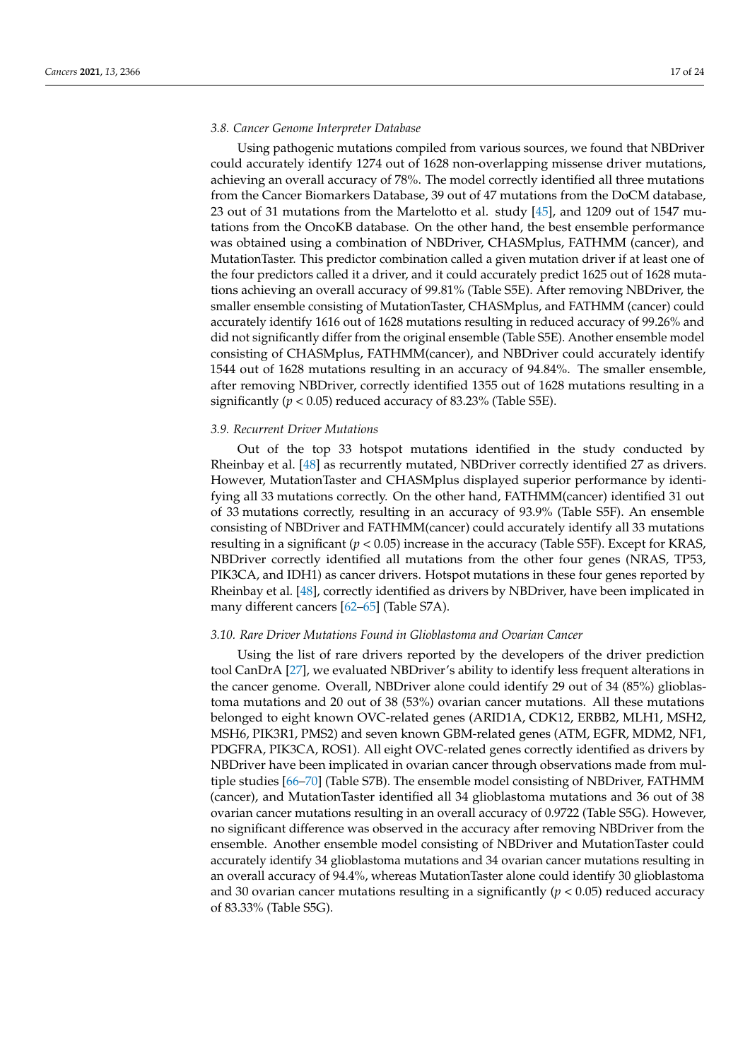## *3.8. Cancer Genome Interpreter Database*

Using pathogenic mutations compiled from various sources, we found that NBDriver could accurately identify 1274 out of 1628 non-overlapping missense driver mutations, achieving an overall accuracy of 78%. The model correctly identified all three mutations from the Cancer Biomarkers Database, 39 out of 47 mutations from the DoCM database, 23 out of 31 mutations from the Martelotto et al. study [45], and 1209 out of 1547 mutations from the OncoKB database. On the other hand, the best ensemble performance was obtained using a combination of NBDriver, CHASMplus, FATHMM (cancer), and MutationTaster. This predictor combination called a given mutation driver if at least one of the four predictors called it a driver, and it could accurately predict 1625 out of 1628 mutations achieving an overall accuracy of 99.81% (Table S5E). After removing NBDriver, the smaller ensemble consisting of MutationTaster, CHASMplus, and FATHMM (cancer) could accurately identify 1616 out of 1628 mutations resulting in reduced accuracy of 99.26% and did not significantly differ from the original ensemble (Table S5E). Another ensemble model consisting of CHASMplus, FATHMM(cancer), and NBDriver could accurately identify 1544 out of 1628 mutations resulting in an accuracy of 94.84%. The smaller ensemble, after removing NBDriver, correctly identified 1355 out of 1628 mutations resulting in a significantly ( $p < 0.05$ ) reduced accuracy of 83.23% (Table S5E).

#### *3.9. Recurrent Driver Mutations*

Out of the top 33 hotspot mutations identified in the study conducted by Rheinbay et al. [48] as recurrently mutated, NBDriver correctly identified 27 as drivers. However, MutationTaster and CHASMplus displayed superior performance by identifying all 33 mutations correctly. On the other hand, FATHMM(cancer) identified 31 out of 33 mutations correctly, resulting in an accuracy of 93.9% (Table S5F). An ensemble consisting of NBDriver and FATHMM(cancer) could accurately identify all 33 mutations resulting in a significant (*p* < 0.05) increase in the accuracy (Table S5F). Except for KRAS, NBDriver correctly identified all mutations from the other four genes (NRAS, TP53, PIK3CA, and IDH1) as cancer drivers. Hotspot mutations in these four genes reported by Rheinbay et al. [48], correctly identified as drivers by NBDriver, have been implicated in many different cancers [62–65] (Table S7A).

### *3.10. Rare Driver Mutations Found in Glioblastoma and Ovarian Cancer*

Using the list of rare drivers reported by the developers of the driver prediction tool CanDrA [27], we evaluated NBDriver's ability to identify less frequent alterations in the cancer genome. Overall, NBDriver alone could identify 29 out of 34 (85%) glioblastoma mutations and 20 out of 38 (53%) ovarian cancer mutations. All these mutations belonged to eight known OVC-related genes (ARID1A, CDK12, ERBB2, MLH1, MSH2, MSH6, PIK3R1, PMS2) and seven known GBM-related genes (ATM, EGFR, MDM2, NF1, PDGFRA, PIK3CA, ROS1). All eight OVC-related genes correctly identified as drivers by NBDriver have been implicated in ovarian cancer through observations made from multiple studies [66–70] (Table S7B). The ensemble model consisting of NBDriver, FATHMM (cancer), and MutationTaster identified all 34 glioblastoma mutations and 36 out of 38 ovarian cancer mutations resulting in an overall accuracy of 0.9722 (Table S5G). However, no significant difference was observed in the accuracy after removing NBDriver from the ensemble. Another ensemble model consisting of NBDriver and MutationTaster could accurately identify 34 glioblastoma mutations and 34 ovarian cancer mutations resulting in an overall accuracy of 94.4%, whereas MutationTaster alone could identify 30 glioblastoma and 30 ovarian cancer mutations resulting in a significantly ( $p < 0.05$ ) reduced accuracy of 83.33% (Table S5G).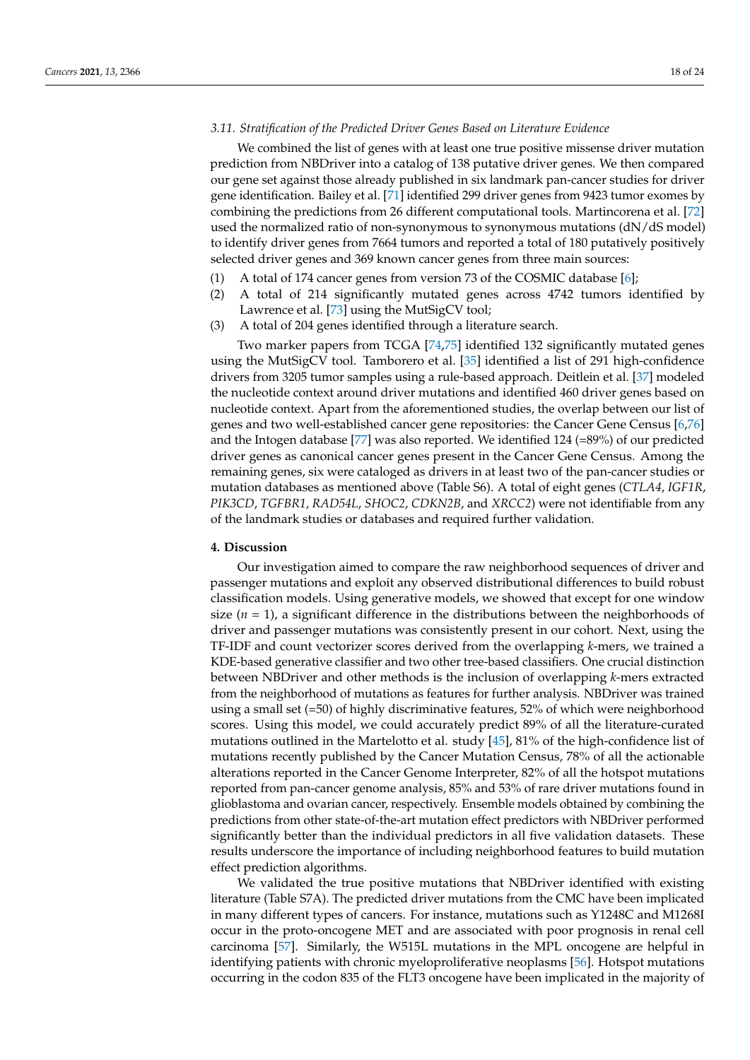## *3.11. Stratification of the Predicted Driver Genes Based on Literature Evidence*

We combined the list of genes with at least one true positive missense driver mutation prediction from NBDriver into a catalog of 138 putative driver genes. We then compared our gene set against those already published in six landmark pan-cancer studies for driver gene identification. Bailey et al. [71] identified 299 driver genes from 9423 tumor exomes by combining the predictions from 26 different computational tools. Martincorena et al. [72] used the normalized ratio of non-synonymous to synonymous mutations (dN/dS model) to identify driver genes from 7664 tumors and reported a total of 180 putatively positively selected driver genes and 369 known cancer genes from three main sources:

- (1) A total of 174 cancer genes from version 73 of the COSMIC database [6];
- (2) A total of 214 significantly mutated genes across 4742 tumors identified by Lawrence et al. [73] using the MutSigCV tool;
- (3) A total of 204 genes identified through a literature search.

Two marker papers from TCGA [74,75] identified 132 significantly mutated genes using the MutSigCV tool. Tamborero et al. [35] identified a list of 291 high-confidence drivers from 3205 tumor samples using a rule-based approach. Deitlein et al. [37] modeled the nucleotide context around driver mutations and identified 460 driver genes based on nucleotide context. Apart from the aforementioned studies, the overlap between our list of genes and two well-established cancer gene repositories: the Cancer Gene Census [6,76] and the Intogen database [77] was also reported. We identified  $124$  (=89%) of our predicted driver genes as canonical cancer genes present in the Cancer Gene Census. Among the remaining genes, six were cataloged as drivers in at least two of the pan-cancer studies or mutation databases as mentioned above (Table S6). A total of eight genes (*CTLA4*, *IGF1R*, *PIK3CD*, *TGFBR1*, *RAD54L*, *SHOC2*, *CDKN2B*, and *XRCC2*) were not identifiable from any of the landmark studies or databases and required further validation.

# **4. Discussion**

Our investigation aimed to compare the raw neighborhood sequences of driver and passenger mutations and exploit any observed distributional differences to build robust classification models. Using generative models, we showed that except for one window size  $(n = 1)$ , a significant difference in the distributions between the neighborhoods of driver and passenger mutations was consistently present in our cohort. Next, using the TF-IDF and count vectorizer scores derived from the overlapping *k*-mers, we trained a KDE-based generative classifier and two other tree-based classifiers. One crucial distinction between NBDriver and other methods is the inclusion of overlapping *k*-mers extracted from the neighborhood of mutations as features for further analysis. NBDriver was trained using a small set (=50) of highly discriminative features, 52% of which were neighborhood scores. Using this model, we could accurately predict 89% of all the literature-curated mutations outlined in the Martelotto et al. study [45], 81% of the high-confidence list of mutations recently published by the Cancer Mutation Census, 78% of all the actionable alterations reported in the Cancer Genome Interpreter, 82% of all the hotspot mutations reported from pan-cancer genome analysis, 85% and 53% of rare driver mutations found in glioblastoma and ovarian cancer, respectively. Ensemble models obtained by combining the predictions from other state-of-the-art mutation effect predictors with NBDriver performed significantly better than the individual predictors in all five validation datasets. These results underscore the importance of including neighborhood features to build mutation effect prediction algorithms.

We validated the true positive mutations that NBDriver identified with existing literature (Table S7A). The predicted driver mutations from the CMC have been implicated in many different types of cancers. For instance, mutations such as Y1248C and M1268I occur in the proto-oncogene MET and are associated with poor prognosis in renal cell carcinoma [57]. Similarly, the W515L mutations in the MPL oncogene are helpful in identifying patients with chronic myeloproliferative neoplasms [56]. Hotspot mutations occurring in the codon 835 of the FLT3 oncogene have been implicated in the majority of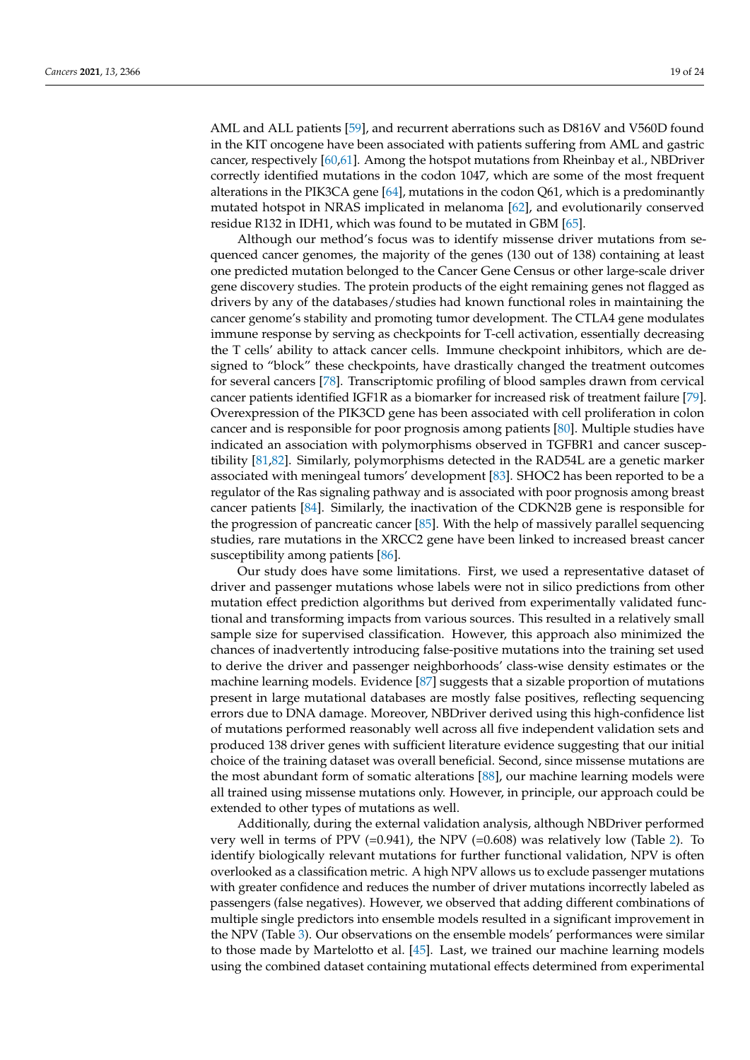AML and ALL patients [59], and recurrent aberrations such as D816V and V560D found in the KIT oncogene have been associated with patients suffering from AML and gastric cancer, respectively [60,61]. Among the hotspot mutations from Rheinbay et al., NBDriver correctly identified mutations in the codon 1047, which are some of the most frequent alterations in the PIK3CA gene [64], mutations in the codon Q61, which is a predominantly mutated hotspot in NRAS implicated in melanoma [62], and evolutionarily conserved residue R132 in IDH1, which was found to be mutated in GBM [65].

Although our method's focus was to identify missense driver mutations from sequenced cancer genomes, the majority of the genes (130 out of 138) containing at least one predicted mutation belonged to the Cancer Gene Census or other large-scale driver gene discovery studies. The protein products of the eight remaining genes not flagged as drivers by any of the databases/studies had known functional roles in maintaining the cancer genome's stability and promoting tumor development. The CTLA4 gene modulates immune response by serving as checkpoints for T-cell activation, essentially decreasing the T cells' ability to attack cancer cells. Immune checkpoint inhibitors, which are designed to "block" these checkpoints, have drastically changed the treatment outcomes for several cancers [78]. Transcriptomic profiling of blood samples drawn from cervical cancer patients identified IGF1R as a biomarker for increased risk of treatment failure [79]. Overexpression of the PIK3CD gene has been associated with cell proliferation in colon cancer and is responsible for poor prognosis among patients [80]. Multiple studies have indicated an association with polymorphisms observed in TGFBR1 and cancer susceptibility [81,82]. Similarly, polymorphisms detected in the RAD54L are a genetic marker associated with meningeal tumors' development [83]. SHOC2 has been reported to be a regulator of the Ras signaling pathway and is associated with poor prognosis among breast cancer patients [84]. Similarly, the inactivation of the CDKN2B gene is responsible for the progression of pancreatic cancer [85]. With the help of massively parallel sequencing studies, rare mutations in the XRCC2 gene have been linked to increased breast cancer susceptibility among patients [86].

Our study does have some limitations. First, we used a representative dataset of driver and passenger mutations whose labels were not in silico predictions from other mutation effect prediction algorithms but derived from experimentally validated functional and transforming impacts from various sources. This resulted in a relatively small sample size for supervised classification. However, this approach also minimized the chances of inadvertently introducing false-positive mutations into the training set used to derive the driver and passenger neighborhoods' class-wise density estimates or the machine learning models. Evidence [87] suggests that a sizable proportion of mutations present in large mutational databases are mostly false positives, reflecting sequencing errors due to DNA damage. Moreover, NBDriver derived using this high-confidence list of mutations performed reasonably well across all five independent validation sets and produced 138 driver genes with sufficient literature evidence suggesting that our initial choice of the training dataset was overall beneficial. Second, since missense mutations are the most abundant form of somatic alterations [88], our machine learning models were all trained using missense mutations only. However, in principle, our approach could be extended to other types of mutations as well.

Additionally, during the external validation analysis, although NBDriver performed very well in terms of PPV (=0.941), the NPV (=0.608) was relatively low (Table 2). To identify biologically relevant mutations for further functional validation, NPV is often overlooked as a classification metric. A high NPV allows us to exclude passenger mutations with greater confidence and reduces the number of driver mutations incorrectly labeled as passengers (false negatives). However, we observed that adding different combinations of multiple single predictors into ensemble models resulted in a significant improvement in the NPV (Table 3). Our observations on the ensemble models' performances were similar to those made by Martelotto et al. [45]. Last, we trained our machine learning models using the combined dataset containing mutational effects determined from experimental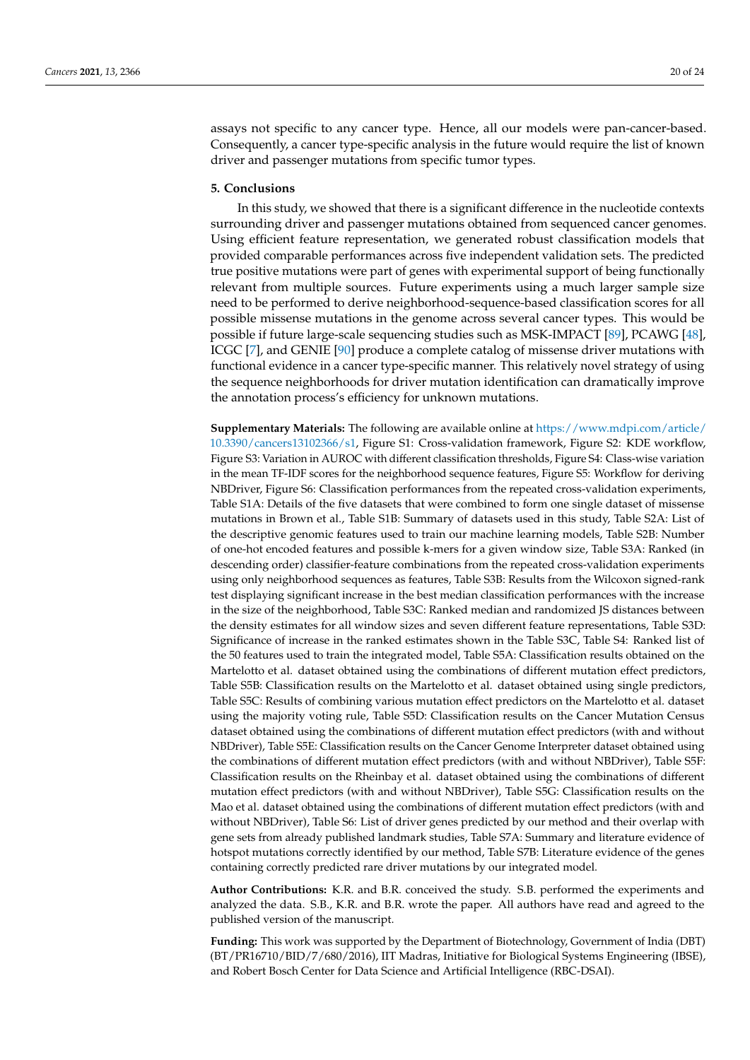assays not specific to any cancer type. Hence, all our models were pan-cancer-based. Consequently, a cancer type-specific analysis in the future would require the list of known driver and passenger mutations from specific tumor types.

## **5. Conclusions**

In this study, we showed that there is a significant difference in the nucleotide contexts surrounding driver and passenger mutations obtained from sequenced cancer genomes. Using efficient feature representation, we generated robust classification models that provided comparable performances across five independent validation sets. The predicted true positive mutations were part of genes with experimental support of being functionally relevant from multiple sources. Future experiments using a much larger sample size need to be performed to derive neighborhood-sequence-based classification scores for all possible missense mutations in the genome across several cancer types. This would be possible if future large-scale sequencing studies such as MSK-IMPACT [89], PCAWG [48], ICGC [7], and GENIE [90] produce a complete catalog of missense driver mutations with functional evidence in a cancer type-specific manner. This relatively novel strategy of using the sequence neighborhoods for driver mutation identification can dramatically improve the annotation process's efficiency for unknown mutations.

**Supplementary Materials:** The following are available online at https://www.mdpi.com/article/ 10.3390/cancers13102366/s1, Figure S1: Cross-validation framework, Figure S2: KDE workflow, Figure S3: Variation in AUROC with different classification thresholds, Figure S4: Class-wise variation in the mean TF-IDF scores for the neighborhood sequence features, Figure S5: Workflow for deriving NBDriver, Figure S6: Classification performances from the repeated cross-validation experiments, Table S1A: Details of the five datasets that were combined to form one single dataset of missense mutations in Brown et al., Table S1B: Summary of datasets used in this study, Table S2A: List of the descriptive genomic features used to train our machine learning models, Table S2B: Number of one-hot encoded features and possible k-mers for a given window size, Table S3A: Ranked (in descending order) classifier-feature combinations from the repeated cross-validation experiments using only neighborhood sequences as features, Table S3B: Results from the Wilcoxon signed-rank test displaying significant increase in the best median classification performances with the increase in the size of the neighborhood, Table S3C: Ranked median and randomized JS distances between the density estimates for all window sizes and seven different feature representations, Table S3D: Significance of increase in the ranked estimates shown in the Table S3C, Table S4: Ranked list of the 50 features used to train the integrated model, Table S5A: Classification results obtained on the Martelotto et al. dataset obtained using the combinations of different mutation effect predictors, Table S5B: Classification results on the Martelotto et al. dataset obtained using single predictors, Table S5C: Results of combining various mutation effect predictors on the Martelotto et al. dataset using the majority voting rule, Table S5D: Classification results on the Cancer Mutation Census dataset obtained using the combinations of different mutation effect predictors (with and without NBDriver), Table S5E: Classification results on the Cancer Genome Interpreter dataset obtained using the combinations of different mutation effect predictors (with and without NBDriver), Table S5F: Classification results on the Rheinbay et al. dataset obtained using the combinations of different mutation effect predictors (with and without NBDriver), Table S5G: Classification results on the Mao et al. dataset obtained using the combinations of different mutation effect predictors (with and without NBDriver), Table S6: List of driver genes predicted by our method and their overlap with gene sets from already published landmark studies, Table S7A: Summary and literature evidence of hotspot mutations correctly identified by our method, Table S7B: Literature evidence of the genes containing correctly predicted rare driver mutations by our integrated model.

**Author Contributions:** K.R. and B.R. conceived the study. S.B. performed the experiments and analyzed the data. S.B., K.R. and B.R. wrote the paper. All authors have read and agreed to the published version of the manuscript.

**Funding:** This work was supported by the Department of Biotechnology, Government of India (DBT) (BT/PR16710/BID/7/680/2016), IIT Madras, Initiative for Biological Systems Engineering (IBSE), and Robert Bosch Center for Data Science and Artificial Intelligence (RBC-DSAI).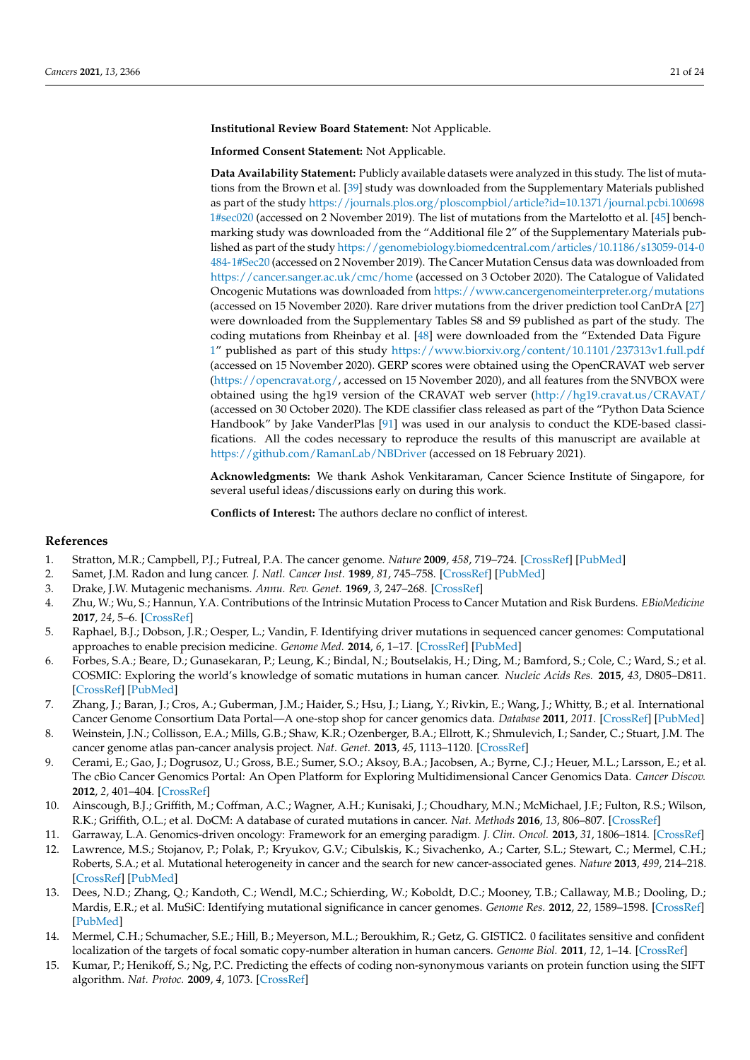#### **Institutional Review Board Statement:** Not Applicable.

**Informed Consent Statement:** Not Applicable.

**Data Availability Statement:** Publicly available datasets were analyzed in this study. The list of mutations from the Brown et al. [39] study was downloaded from the Supplementary Materials published as part of the study https://journals.plos.org/ploscompbiol/article?id=10.1371/journal.pcbi.100698 1#sec020 (accessed on 2 November 2019). The list of mutations from the Martelotto et al. [45] benchmarking study was downloaded from the "Additional file 2" of the Supplementary Materials published as part of the study https://genomebiology.biomedcentral.com/articles/10.1186/s13059-014-0 484-1#Sec20 (accessed on 2 November 2019). The Cancer Mutation Census data was downloaded from https://cancer.sanger.ac.uk/cmc/home (accessed on 3 October 2020). The Catalogue of Validated Oncogenic Mutations was downloaded from https://www.cancergenomeinterpreter.org/mutations (accessed on 15 November 2020). Rare driver mutations from the driver prediction tool CanDrA [27] were downloaded from the Supplementary Tables S8 and S9 published as part of the study. The coding mutations from Rheinbay et al. [48] were downloaded from the "Extended Data Figure 1" published as part of this study https://www.biorxiv.org/content/10.1101/237313v1.full.pdf (accessed on 15 November 2020). GERP scores were obtained using the OpenCRAVAT web server (https://opencravat.org/, accessed on 15 November 2020), and all features from the SNVBOX were obtained using the hg19 version of the CRAVAT web server (http://hg19.cravat.us/CRAVAT/ (accessed on 30 October 2020). The KDE classifier class released as part of the "Python Data Science Handbook" by Jake VanderPlas [91] was used in our analysis to conduct the KDE-based classifications. All the codes necessary to reproduce the results of this manuscript are available at https://github.com/RamanLab/NBDriver (accessed on 18 February 2021).

**Acknowledgments:** We thank Ashok Venkitaraman, Cancer Science Institute of Singapore, for several useful ideas/discussions early on during this work.

**Conflicts of Interest:** The authors declare no conflict of interest.

# **References**

- 1. Stratton, M.R.; Campbell, P.J.; Futreal, P.A. The cancer genome. *Nature* **2009**, *458*, 719–724. [CrossRef] [PubMed]
- 2. Samet, J.M. Radon and lung cancer. *J. Natl. Cancer Inst.* **1989**, *81*, 745–758. [CrossRef] [PubMed]
- 3. Drake, J.W. Mutagenic mechanisms. *Annu. Rev. Genet.* **1969**, *3*, 247–268. [CrossRef]
- 4. Zhu, W.; Wu, S.; Hannun, Y.A. Contributions of the Intrinsic Mutation Process to Cancer Mutation and Risk Burdens. *EBioMedicine* **2017**, *24*, 5–6. [CrossRef]
- 5. Raphael, B.J.; Dobson, J.R.; Oesper, L.; Vandin, F. Identifying driver mutations in sequenced cancer genomes: Computational approaches to enable precision medicine. *Genome Med.* **2014**, *6*, 1–17. [CrossRef] [PubMed]
- 6. Forbes, S.A.; Beare, D.; Gunasekaran, P.; Leung, K.; Bindal, N.; Boutselakis, H.; Ding, M.; Bamford, S.; Cole, C.; Ward, S.; et al. COSMIC: Exploring the world's knowledge of somatic mutations in human cancer. *Nucleic Acids Res.* **2015**, *43*, D805–D811. [CrossRef] [PubMed]
- 7. Zhang, J.; Baran, J.; Cros, A.; Guberman, J.M.; Haider, S.; Hsu, J.; Liang, Y.; Rivkin, E.; Wang, J.; Whitty, B.; et al. International Cancer Genome Consortium Data Portal—A one-stop shop for cancer genomics data. *Database* **2011**, *2011*. [CrossRef] [PubMed]
- 8. Weinstein, J.N.; Collisson, E.A.; Mills, G.B.; Shaw, K.R.; Ozenberger, B.A.; Ellrott, K.; Shmulevich, I.; Sander, C.; Stuart, J.M. The cancer genome atlas pan-cancer analysis project. *Nat. Genet.* **2013**, *45*, 1113–1120. [CrossRef]
- 9. Cerami, E.; Gao, J.; Dogrusoz, U.; Gross, B.E.; Sumer, S.O.; Aksoy, B.A.; Jacobsen, A.; Byrne, C.J.; Heuer, M.L.; Larsson, E.; et al. The cBio Cancer Genomics Portal: An Open Platform for Exploring Multidimensional Cancer Genomics Data. *Cancer Discov.* **2012**, *2*, 401–404. [CrossRef]
- 10. Ainscough, B.J.; Griffith, M.; Coffman, A.C.; Wagner, A.H.; Kunisaki, J.; Choudhary, M.N.; McMichael, J.F.; Fulton, R.S.; Wilson, R.K.; Griffith, O.L.; et al. DoCM: A database of curated mutations in cancer. *Nat. Methods* **2016**, *13*, 806–807. [CrossRef]
- 11. Garraway, L.A. Genomics-driven oncology: Framework for an emerging paradigm. *J. Clin. Oncol.* **2013**, *31*, 1806–1814. [CrossRef]
- 12. Lawrence, M.S.; Stojanov, P.; Polak, P.; Kryukov, G.V.; Cibulskis, K.; Sivachenko, A.; Carter, S.L.; Stewart, C.; Mermel, C.H.; Roberts, S.A.; et al. Mutational heterogeneity in cancer and the search for new cancer-associated genes. *Nature* **2013**, *499*, 214–218. [CrossRef] [PubMed]
- 13. Dees, N.D.; Zhang, Q.; Kandoth, C.; Wendl, M.C.; Schierding, W.; Koboldt, D.C.; Mooney, T.B.; Callaway, M.B.; Dooling, D.; Mardis, E.R.; et al. MuSiC: Identifying mutational significance in cancer genomes. *Genome Res.* **2012**, *22*, 1589–1598. [CrossRef] [PubMed]
- 14. Mermel, C.H.; Schumacher, S.E.; Hill, B.; Meyerson, M.L.; Beroukhim, R.; Getz, G. GISTIC2. 0 facilitates sensitive and confident localization of the targets of focal somatic copy-number alteration in human cancers. *Genome Biol.* **2011**, *12*, 1–14. [CrossRef]
- 15. Kumar, P.; Henikoff, S.; Ng, P.C. Predicting the effects of coding non-synonymous variants on protein function using the SIFT algorithm. *Nat. Protoc.* **2009**, *4*, 1073. [CrossRef]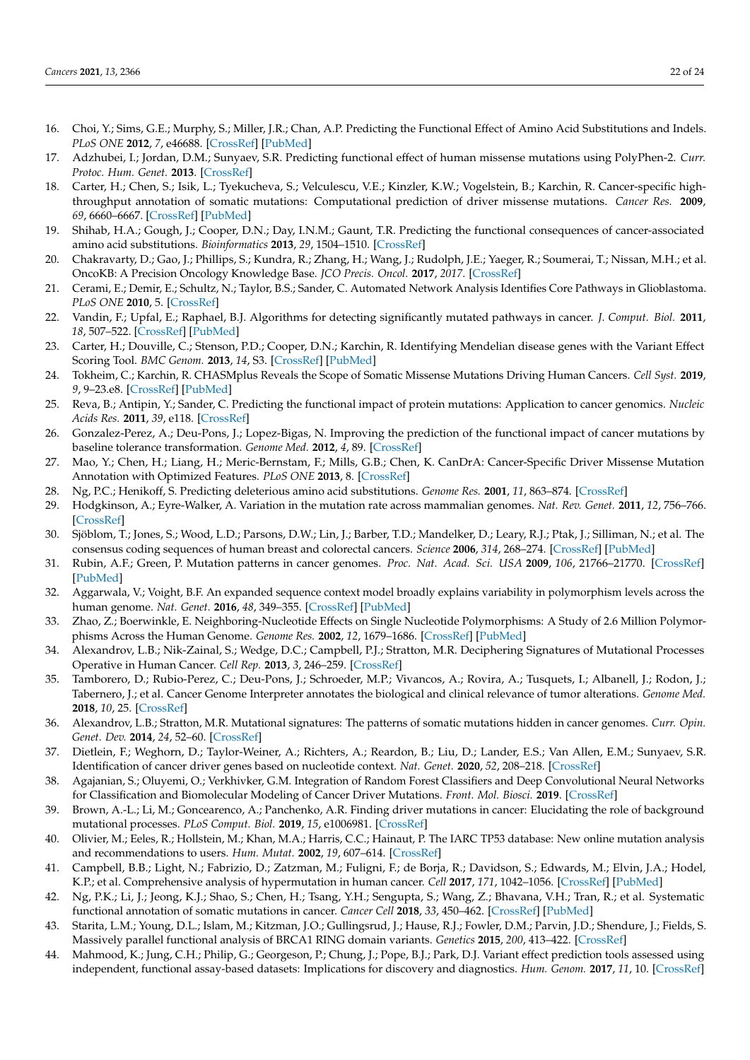- 16. Choi, Y.; Sims, G.E.; Murphy, S.; Miller, J.R.; Chan, A.P. Predicting the Functional Effect of Amino Acid Substitutions and Indels. *PLoS ONE* **2012**, *7*, e46688. [CrossRef] [PubMed]
- 17. Adzhubei, I.; Jordan, D.M.; Sunyaev, S.R. Predicting functional effect of human missense mutations using PolyPhen-2. *Curr. Protoc. Hum. Genet.* **2013**. [CrossRef]
- 18. Carter, H.; Chen, S.; Isik, L.; Tyekucheva, S.; Velculescu, V.E.; Kinzler, K.W.; Vogelstein, B.; Karchin, R. Cancer-specific highthroughput annotation of somatic mutations: Computational prediction of driver missense mutations. *Cancer Res.* **2009**, *69*, 6660–6667. [CrossRef] [PubMed]
- 19. Shihab, H.A.; Gough, J.; Cooper, D.N.; Day, I.N.M.; Gaunt, T.R. Predicting the functional consequences of cancer-associated amino acid substitutions. *Bioinformatics* **2013**, *29*, 1504–1510. [CrossRef]
- 20. Chakravarty, D.; Gao, J.; Phillips, S.; Kundra, R.; Zhang, H.; Wang, J.; Rudolph, J.E.; Yaeger, R.; Soumerai, T.; Nissan, M.H.; et al. OncoKB: A Precision Oncology Knowledge Base. *JCO Precis. Oncol.* **2017**, *2017*. [CrossRef]
- 21. Cerami, E.; Demir, E.; Schultz, N.; Taylor, B.S.; Sander, C. Automated Network Analysis Identifies Core Pathways in Glioblastoma. *PLoS ONE* **2010**, 5. [CrossRef]
- 22. Vandin, F.; Upfal, E.; Raphael, B.J. Algorithms for detecting significantly mutated pathways in cancer. *J. Comput. Biol.* **2011**, *18*, 507–522. [CrossRef] [PubMed]
- 23. Carter, H.; Douville, C.; Stenson, P.D.; Cooper, D.N.; Karchin, R. Identifying Mendelian disease genes with the Variant Effect Scoring Tool. *BMC Genom.* **2013**, *14*, S3. [CrossRef] [PubMed]
- 24. Tokheim, C.; Karchin, R. CHASMplus Reveals the Scope of Somatic Missense Mutations Driving Human Cancers. *Cell Syst.* **2019**, *9*, 9–23.e8. [CrossRef] [PubMed]
- 25. Reva, B.; Antipin, Y.; Sander, C. Predicting the functional impact of protein mutations: Application to cancer genomics. *Nucleic Acids Res.* **2011**, *39*, e118. [CrossRef]
- 26. Gonzalez-Perez, A.; Deu-Pons, J.; Lopez-Bigas, N. Improving the prediction of the functional impact of cancer mutations by baseline tolerance transformation. *Genome Med.* **2012**, *4*, 89. [CrossRef]
- 27. Mao, Y.; Chen, H.; Liang, H.; Meric-Bernstam, F.; Mills, G.B.; Chen, K. CanDrA: Cancer-Specific Driver Missense Mutation Annotation with Optimized Features. *PLoS ONE* **2013**, 8. [CrossRef]
- 28. Ng, P.C.; Henikoff, S. Predicting deleterious amino acid substitutions. *Genome Res.* **2001**, *11*, 863–874. [CrossRef]
- 29. Hodgkinson, A.; Eyre-Walker, A. Variation in the mutation rate across mammalian genomes. *Nat. Rev. Genet.* **2011**, *12*, 756–766. [CrossRef]
- 30. Sjöblom, T.; Jones, S.; Wood, L.D.; Parsons, D.W.; Lin, J.; Barber, T.D.; Mandelker, D.; Leary, R.J.; Ptak, J.; Silliman, N.; et al. The consensus coding sequences of human breast and colorectal cancers. *Science* **2006**, *314*, 268–274. [CrossRef] [PubMed]
- 31. Rubin, A.F.; Green, P. Mutation patterns in cancer genomes. *Proc. Nat. Acad. Sci. USA* **2009**, *106*, 21766–21770. [CrossRef] [PubMed]
- 32. Aggarwala, V.; Voight, B.F. An expanded sequence context model broadly explains variability in polymorphism levels across the human genome. *Nat. Genet.* **2016**, *48*, 349–355. [CrossRef] [PubMed]
- 33. Zhao, Z.; Boerwinkle, E. Neighboring-Nucleotide Effects on Single Nucleotide Polymorphisms: A Study of 2.6 Million Polymorphisms Across the Human Genome. *Genome Res.* **2002**, *12*, 1679–1686. [CrossRef] [PubMed]
- 34. Alexandrov, L.B.; Nik-Zainal, S.; Wedge, D.C.; Campbell, P.J.; Stratton, M.R. Deciphering Signatures of Mutational Processes Operative in Human Cancer. *Cell Rep.* **2013**, *3*, 246–259. [CrossRef]
- 35. Tamborero, D.; Rubio-Perez, C.; Deu-Pons, J.; Schroeder, M.P.; Vivancos, A.; Rovira, A.; Tusquets, I.; Albanell, J.; Rodon, J.; Tabernero, J.; et al. Cancer Genome Interpreter annotates the biological and clinical relevance of tumor alterations. *Genome Med.* **2018**, *10*, 25. [CrossRef]
- 36. Alexandrov, L.B.; Stratton, M.R. Mutational signatures: The patterns of somatic mutations hidden in cancer genomes. *Curr. Opin. Genet. Dev.* **2014**, *24*, 52–60. [CrossRef]
- 37. Dietlein, F.; Weghorn, D.; Taylor-Weiner, A.; Richters, A.; Reardon, B.; Liu, D.; Lander, E.S.; Van Allen, E.M.; Sunyaev, S.R. Identification of cancer driver genes based on nucleotide context. *Nat. Genet.* **2020**, *52*, 208–218. [CrossRef]
- 38. Agajanian, S.; Oluyemi, O.; Verkhivker, G.M. Integration of Random Forest Classifiers and Deep Convolutional Neural Networks for Classification and Biomolecular Modeling of Cancer Driver Mutations. *Front. Mol. Biosci.* **2019**. [CrossRef]
- 39. Brown, A.-L.; Li, M.; Goncearenco, A.; Panchenko, A.R. Finding driver mutations in cancer: Elucidating the role of background mutational processes. *PLoS Comput. Biol.* **2019**, *15*, e1006981. [CrossRef]
- 40. Olivier, M.; Eeles, R.; Hollstein, M.; Khan, M.A.; Harris, C.C.; Hainaut, P. The IARC TP53 database: New online mutation analysis and recommendations to users. *Hum. Mutat.* **2002**, *19*, 607–614. [CrossRef]
- 41. Campbell, B.B.; Light, N.; Fabrizio, D.; Zatzman, M.; Fuligni, F.; de Borja, R.; Davidson, S.; Edwards, M.; Elvin, J.A.; Hodel, K.P.; et al. Comprehensive analysis of hypermutation in human cancer. *Cell* **2017**, *171*, 1042–1056. [CrossRef] [PubMed]
- 42. Ng, P.K.; Li, J.; Jeong, K.J.; Shao, S.; Chen, H.; Tsang, Y.H.; Sengupta, S.; Wang, Z.; Bhavana, V.H.; Tran, R.; et al. Systematic functional annotation of somatic mutations in cancer. *Cancer Cell* **2018**, *33*, 450–462. [CrossRef] [PubMed]
- 43. Starita, L.M.; Young, D.L.; Islam, M.; Kitzman, J.O.; Gullingsrud, J.; Hause, R.J.; Fowler, D.M.; Parvin, J.D.; Shendure, J.; Fields, S. Massively parallel functional analysis of BRCA1 RING domain variants. *Genetics* **2015**, *200*, 413–422. [CrossRef]
- 44. Mahmood, K.; Jung, C.H.; Philip, G.; Georgeson, P.; Chung, J.; Pope, B.J.; Park, D.J. Variant effect prediction tools assessed using independent, functional assay-based datasets: Implications for discovery and diagnostics. *Hum. Genom.* **2017**, *11*, 10. [CrossRef]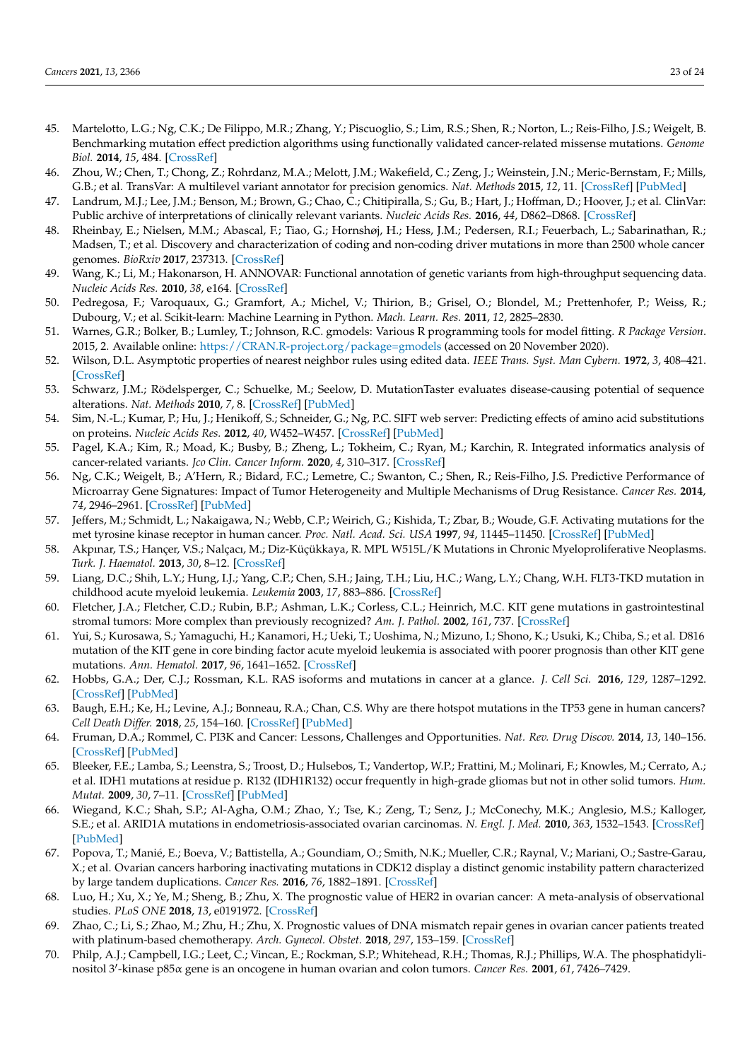- 45. Martelotto, L.G.; Ng, C.K.; De Filippo, M.R.; Zhang, Y.; Piscuoglio, S.; Lim, R.S.; Shen, R.; Norton, L.; Reis-Filho, J.S.; Weigelt, B. Benchmarking mutation effect prediction algorithms using functionally validated cancer-related missense mutations. *Genome Biol.* **2014**, *15*, 484. [CrossRef]
- 46. Zhou, W.; Chen, T.; Chong, Z.; Rohrdanz, M.A.; Melott, J.M.; Wakefield, C.; Zeng, J.; Weinstein, J.N.; Meric-Bernstam, F.; Mills, G.B.; et al. TransVar: A multilevel variant annotator for precision genomics. *Nat. Methods* **2015**, *12*, 11. [CrossRef] [PubMed]
- 47. Landrum, M.J.; Lee, J.M.; Benson, M.; Brown, G.; Chao, C.; Chitipiralla, S.; Gu, B.; Hart, J.; Hoffman, D.; Hoover, J.; et al. ClinVar: Public archive of interpretations of clinically relevant variants. *Nucleic Acids Res.* **2016**, *44*, D862–D868. [CrossRef]
- 48. Rheinbay, E.; Nielsen, M.M.; Abascal, F.; Tiao, G.; Hornshøj, H.; Hess, J.M.; Pedersen, R.I.; Feuerbach, L.; Sabarinathan, R.; Madsen, T.; et al. Discovery and characterization of coding and non-coding driver mutations in more than 2500 whole cancer genomes. *BioRxiv* **2017**, 237313. [CrossRef]
- 49. Wang, K.; Li, M.; Hakonarson, H. ANNOVAR: Functional annotation of genetic variants from high-throughput sequencing data. *Nucleic Acids Res.* **2010**, *38*, e164. [CrossRef]
- 50. Pedregosa, F.; Varoquaux, G.; Gramfort, A.; Michel, V.; Thirion, B.; Grisel, O.; Blondel, M.; Prettenhofer, P.; Weiss, R.; Dubourg, V.; et al. Scikit-learn: Machine Learning in Python. *Mach. Learn. Res.* **2011**, *12*, 2825–2830.
- 51. Warnes, G.R.; Bolker, B.; Lumley, T.; Johnson, R.C. gmodels: Various R programming tools for model fitting. *R Package Version*. 2015, 2. Available online: https://CRAN.R-project.org/package=gmodels (accessed on 20 November 2020).
- 52. Wilson, D.L. Asymptotic properties of nearest neighbor rules using edited data. *IEEE Trans. Syst. Man Cybern.* **1972**, *3*, 408–421. [CrossRef]
- 53. Schwarz, J.M.; Rödelsperger, C.; Schuelke, M.; Seelow, D. MutationTaster evaluates disease-causing potential of sequence alterations. *Nat. Methods* **2010**, *7*, 8. [CrossRef] [PubMed]
- 54. Sim, N.-L.; Kumar, P.; Hu, J.; Henikoff, S.; Schneider, G.; Ng, P.C. SIFT web server: Predicting effects of amino acid substitutions on proteins. *Nucleic Acids Res.* **2012**, *40*, W452–W457. [CrossRef] [PubMed]
- 55. Pagel, K.A.; Kim, R.; Moad, K.; Busby, B.; Zheng, L.; Tokheim, C.; Ryan, M.; Karchin, R. Integrated informatics analysis of cancer-related variants. *Jco Clin. Cancer Inform.* **2020**, *4*, 310–317. [CrossRef]
- 56. Ng, C.K.; Weigelt, B.; A'Hern, R.; Bidard, F.C.; Lemetre, C.; Swanton, C.; Shen, R.; Reis-Filho, J.S. Predictive Performance of Microarray Gene Signatures: Impact of Tumor Heterogeneity and Multiple Mechanisms of Drug Resistance. *Cancer Res.* **2014**, *74*, 2946–2961. [CrossRef] [PubMed]
- 57. Jeffers, M.; Schmidt, L.; Nakaigawa, N.; Webb, C.P.; Weirich, G.; Kishida, T.; Zbar, B.; Woude, G.F. Activating mutations for the met tyrosine kinase receptor in human cancer. *Proc. Natl. Acad. Sci. USA* **1997**, *94*, 11445–11450. [CrossRef] [PubMed]
- 58. Akpınar, T.S.; Hançer, V.S.; Nalçacı, M.; Diz-Küçükkaya, R. MPL W515L/K Mutations in Chronic Myeloproliferative Neoplasms. *Turk. J. Haematol.* **2013**, *30*, 8–12. [CrossRef]
- 59. Liang, D.C.; Shih, L.Y.; Hung, I.J.; Yang, C.P.; Chen, S.H.; Jaing, T.H.; Liu, H.C.; Wang, L.Y.; Chang, W.H. FLT3-TKD mutation in childhood acute myeloid leukemia. *Leukemia* **2003**, *17*, 883–886. [CrossRef]
- 60. Fletcher, J.A.; Fletcher, C.D.; Rubin, B.P.; Ashman, L.K.; Corless, C.L.; Heinrich, M.C. KIT gene mutations in gastrointestinal stromal tumors: More complex than previously recognized? *Am. J. Pathol.* **2002**, *161*, 737. [CrossRef]
- 61. Yui, S.; Kurosawa, S.; Yamaguchi, H.; Kanamori, H.; Ueki, T.; Uoshima, N.; Mizuno, I.; Shono, K.; Usuki, K.; Chiba, S.; et al. D816 mutation of the KIT gene in core binding factor acute myeloid leukemia is associated with poorer prognosis than other KIT gene mutations. *Ann. Hematol.* **2017**, *96*, 1641–1652. [CrossRef]
- 62. Hobbs, G.A.; Der, C.J.; Rossman, K.L. RAS isoforms and mutations in cancer at a glance. *J. Cell Sci.* **2016**, *129*, 1287–1292. [CrossRef] [PubMed]
- 63. Baugh, E.H.; Ke, H.; Levine, A.J.; Bonneau, R.A.; Chan, C.S. Why are there hotspot mutations in the TP53 gene in human cancers? *Cell Death Differ.* **2018**, *25*, 154–160. [CrossRef] [PubMed]
- 64. Fruman, D.A.; Rommel, C. PI3K and Cancer: Lessons, Challenges and Opportunities. *Nat. Rev. Drug Discov.* **2014**, *13*, 140–156. [CrossRef] [PubMed]
- 65. Bleeker, F.E.; Lamba, S.; Leenstra, S.; Troost, D.; Hulsebos, T.; Vandertop, W.P.; Frattini, M.; Molinari, F.; Knowles, M.; Cerrato, A.; et al. IDH1 mutations at residue p. R132 (IDH1R132) occur frequently in high-grade gliomas but not in other solid tumors. *Hum. Mutat.* **2009**, *30*, 7–11. [CrossRef] [PubMed]
- 66. Wiegand, K.C.; Shah, S.P.; Al-Agha, O.M.; Zhao, Y.; Tse, K.; Zeng, T.; Senz, J.; McConechy, M.K.; Anglesio, M.S.; Kalloger, S.E.; et al. ARID1A mutations in endometriosis-associated ovarian carcinomas. *N. Engl. J. Med.* **2010**, *363*, 1532–1543. [CrossRef] [PubMed]
- 67. Popova, T.; Manié, E.; Boeva, V.; Battistella, A.; Goundiam, O.; Smith, N.K.; Mueller, C.R.; Raynal, V.; Mariani, O.; Sastre-Garau, X.; et al. Ovarian cancers harboring inactivating mutations in CDK12 display a distinct genomic instability pattern characterized by large tandem duplications. *Cancer Res.* **2016**, *76*, 1882–1891. [CrossRef]
- 68. Luo, H.; Xu, X.; Ye, M.; Sheng, B.; Zhu, X. The prognostic value of HER2 in ovarian cancer: A meta-analysis of observational studies. *PLoS ONE* **2018**, *13*, e0191972. [CrossRef]
- 69. Zhao, C.; Li, S.; Zhao, M.; Zhu, H.; Zhu, X. Prognostic values of DNA mismatch repair genes in ovarian cancer patients treated with platinum-based chemotherapy. *Arch. Gynecol. Obstet.* **2018**, *297*, 153–159. [CrossRef]
- 70. Philp, A.J.; Campbell, I.G.; Leet, C.; Vincan, E.; Rockman, S.P.; Whitehead, R.H.; Thomas, R.J.; Phillips, W.A. The phosphatidylinositol 3′ -kinase p85α gene is an oncogene in human ovarian and colon tumors. *Cancer Res.* **2001**, *61*, 7426–7429.